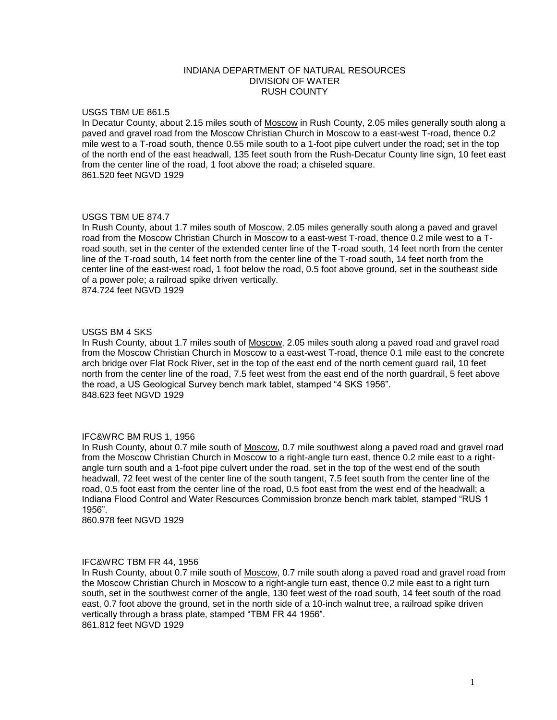## INDIANA DEPARTMENT OF NATURAL RESOURCES DIVISION OF WATER RUSH COUNTY

## USGS TBM UE 861.5

In Decatur County, about 2.15 miles south of Moscow in Rush County, 2.05 miles generally south along a paved and gravel road from the Moscow Christian Church in Moscow to a east-west T-road, thence 0.2 mile west to a T-road south, thence 0.55 mile south to a 1-foot pipe culvert under the road; set in the top of the north end of the east headwall, 135 feet south from the Rush-Decatur County line sign, 10 feet east from the center line of the road, 1 foot above the road; a chiseled square. 861.520 feet NGVD 1929

## USGS TBM UE 874.7

In Rush County, about 1.7 miles south of Moscow, 2.05 miles generally south along a paved and gravel road from the Moscow Christian Church in Moscow to a east-west T-road, thence 0.2 mile west to a Troad south, set in the center of the extended center line of the T-road south, 14 feet north from the center line of the T-road south, 14 feet north from the center line of the T-road south, 14 feet north from the center line of the east-west road, 1 foot below the road, 0.5 foot above ground, set in the southeast side of a power pole; a railroad spike driven vertically. 874.724 feet NGVD 1929

USGS BM 4 SKS

In Rush County, about 1.7 miles south of Moscow, 2.05 miles south along a paved road and gravel road from the Moscow Christian Church in Moscow to a east-west T-road, thence 0.1 mile east to the concrete arch bridge over Flat Rock River, set in the top of the east end of the north cement guard rail, 10 feet north from the center line of the road, 7.5 feet west from the east end of the north guardrail, 5 feet above the road, a US Geological Survey bench mark tablet, stamped "4 SKS 1956". 848.623 feet NGVD 1929

## IFC&WRC BM RUS 1, 1956

In Rush County, about 0.7 mile south of Moscow, 0.7 mile southwest along a paved road and gravel road from the Moscow Christian Church in Moscow to a right-angle turn east, thence 0.2 mile east to a rightangle turn south and a 1-foot pipe culvert under the road, set in the top of the west end of the south headwall, 72 feet west of the center line of the south tangent, 7.5 feet south from the center line of the road, 0.5 foot east from the center line of the road, 0.5 foot east from the west end of the headwall; a Indiana Flood Control and Water Resources Commission bronze bench mark tablet, stamped "RUS 1 1956".

860.978 feet NGVD 1929

#### IFC&WRC TBM FR 44, 1956

In Rush County, about 0.7 mile south of Moscow, 0.7 mile south along a paved road and gravel road from the Moscow Christian Church in Moscow to a right-angle turn east, thence 0.2 mile east to a right turn south, set in the southwest corner of the angle, 130 feet west of the road south, 14 feet south of the road east, 0.7 foot above the ground, set in the north side of a 10-inch walnut tree, a railroad spike driven vertically through a brass plate, stamped "TBM FR 44 1956". 861.812 feet NGVD 1929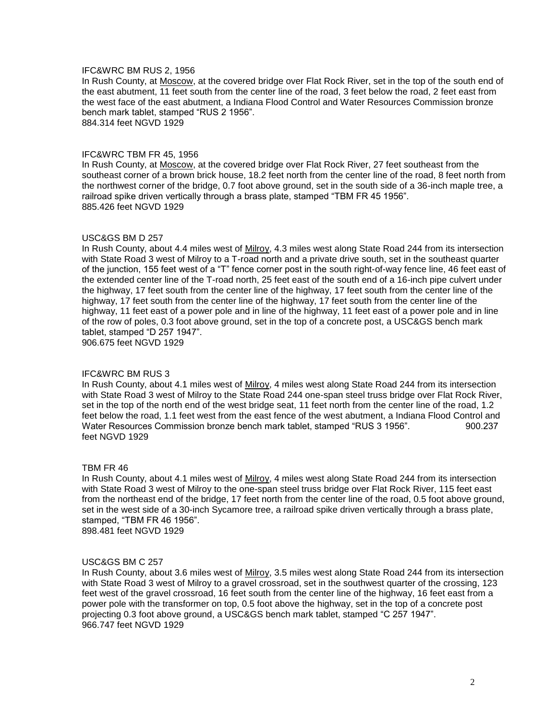## IFC&WRC BM RUS 2, 1956

In Rush County, at Moscow, at the covered bridge over Flat Rock River, set in the top of the south end of the east abutment, 11 feet south from the center line of the road, 3 feet below the road, 2 feet east from the west face of the east abutment, a Indiana Flood Control and Water Resources Commission bronze bench mark tablet, stamped "RUS 2 1956".

884.314 feet NGVD 1929

#### IFC&WRC TBM FR 45, 1956

In Rush County, at Moscow, at the covered bridge over Flat Rock River, 27 feet southeast from the southeast corner of a brown brick house, 18.2 feet north from the center line of the road, 8 feet north from the northwest corner of the bridge, 0.7 foot above ground, set in the south side of a 36-inch maple tree, a railroad spike driven vertically through a brass plate, stamped "TBM FR 45 1956". 885.426 feet NGVD 1929

#### USC&GS BM D 257

In Rush County, about 4.4 miles west of Milroy, 4.3 miles west along State Road 244 from its intersection with State Road 3 west of Milroy to a T-road north and a private drive south, set in the southeast quarter of the junction, 155 feet west of a "T" fence corner post in the south right-of-way fence line, 46 feet east of the extended center line of the T-road north, 25 feet east of the south end of a 16-inch pipe culvert under the highway, 17 feet south from the center line of the highway, 17 feet south from the center line of the highway, 17 feet south from the center line of the highway, 17 feet south from the center line of the highway, 11 feet east of a power pole and in line of the highway, 11 feet east of a power pole and in line of the row of poles, 0.3 foot above ground, set in the top of a concrete post, a USC&GS bench mark tablet, stamped "D 257 1947". 906.675 feet NGVD 1929

#### IFC&WRC BM RUS 3

In Rush County, about 4.1 miles west of Milroy, 4 miles west along State Road 244 from its intersection with State Road 3 west of Milroy to the State Road 244 one-span steel truss bridge over Flat Rock River, set in the top of the north end of the west bridge seat, 11 feet north from the center line of the road, 1.2 feet below the road, 1.1 feet west from the east fence of the west abutment, a Indiana Flood Control and Water Resources Commission bronze bench mark tablet, stamped "RUS 3 1956". 900.237 feet NGVD 1929

#### TBM FR 46

In Rush County, about 4.1 miles west of Milroy, 4 miles west along State Road 244 from its intersection with State Road 3 west of Milroy to the one-span steel truss bridge over Flat Rock River, 115 feet east from the northeast end of the bridge, 17 feet north from the center line of the road, 0.5 foot above ground, set in the west side of a 30-inch Sycamore tree, a railroad spike driven vertically through a brass plate, stamped, "TBM FR 46 1956".

898.481 feet NGVD 1929

#### USC&GS BM C 257

In Rush County, about 3.6 miles west of Milroy, 3.5 miles west along State Road 244 from its intersection with State Road 3 west of Milroy to a gravel crossroad, set in the southwest quarter of the crossing, 123 feet west of the gravel crossroad, 16 feet south from the center line of the highway, 16 feet east from a power pole with the transformer on top, 0.5 foot above the highway, set in the top of a concrete post projecting 0.3 foot above ground, a USC&GS bench mark tablet, stamped "C 257 1947". 966.747 feet NGVD 1929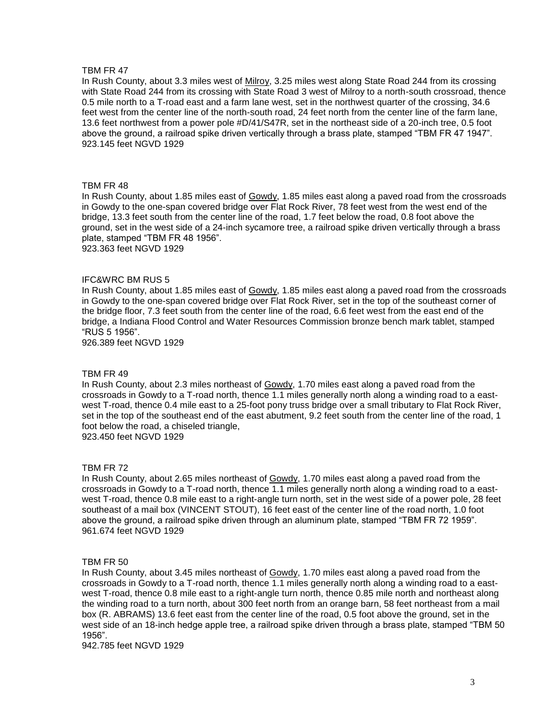In Rush County, about 3.3 miles west of Milroy, 3.25 miles west along State Road 244 from its crossing with State Road 244 from its crossing with State Road 3 west of Milroy to a north-south crossroad, thence 0.5 mile north to a T-road east and a farm lane west, set in the northwest quarter of the crossing, 34.6 feet west from the center line of the north-south road, 24 feet north from the center line of the farm lane, 13.6 feet northwest from a power pole #D/41/S47R, set in the northeast side of a 20-inch tree, 0.5 foot above the ground, a railroad spike driven vertically through a brass plate, stamped "TBM FR 47 1947". 923.145 feet NGVD 1929

## TBM FR 48

In Rush County, about 1.85 miles east of Gowdy, 1.85 miles east along a paved road from the crossroads in Gowdy to the one-span covered bridge over Flat Rock River, 78 feet west from the west end of the bridge, 13.3 feet south from the center line of the road, 1.7 feet below the road, 0.8 foot above the ground, set in the west side of a 24-inch sycamore tree, a railroad spike driven vertically through a brass plate, stamped "TBM FR 48 1956". 923.363 feet NGVD 1929

## IFC&WRC BM RUS 5

In Rush County, about 1.85 miles east of Gowdy, 1.85 miles east along a paved road from the crossroads in Gowdy to the one-span covered bridge over Flat Rock River, set in the top of the southeast corner of the bridge floor, 7.3 feet south from the center line of the road, 6.6 feet west from the east end of the bridge, a Indiana Flood Control and Water Resources Commission bronze bench mark tablet, stamped "RUS 5 1956".

926.389 feet NGVD 1929

#### TBM FR 49

In Rush County, about 2.3 miles northeast of Gowdy, 1.70 miles east along a paved road from the crossroads in Gowdy to a T-road north, thence 1.1 miles generally north along a winding road to a eastwest T-road, thence 0.4 mile east to a 25-foot pony truss bridge over a small tributary to Flat Rock River, set in the top of the southeast end of the east abutment, 9.2 feet south from the center line of the road, 1 foot below the road, a chiseled triangle, 923.450 feet NGVD 1929

TBM FR 72

In Rush County, about 2.65 miles northeast of Gowdy, 1.70 miles east along a paved road from the crossroads in Gowdy to a T-road north, thence 1.1 miles generally north along a winding road to a eastwest T-road, thence 0.8 mile east to a right-angle turn north, set in the west side of a power pole, 28 feet southeast of a mail box (VINCENT STOUT), 16 feet east of the center line of the road north, 1.0 foot above the ground, a railroad spike driven through an aluminum plate, stamped "TBM FR 72 1959". 961.674 feet NGVD 1929

#### TBM FR 50

In Rush County, about 3.45 miles northeast of Gowdy, 1.70 miles east along a paved road from the crossroads in Gowdy to a T-road north, thence 1.1 miles generally north along a winding road to a eastwest T-road, thence 0.8 mile east to a right-angle turn north, thence 0.85 mile north and northeast along the winding road to a turn north, about 300 feet north from an orange barn, 58 feet northeast from a mail box (R. ABRAMS) 13.6 feet east from the center line of the road, 0.5 foot above the ground, set in the west side of an 18-inch hedge apple tree, a railroad spike driven through a brass plate, stamped "TBM 50 1956".

942.785 feet NGVD 1929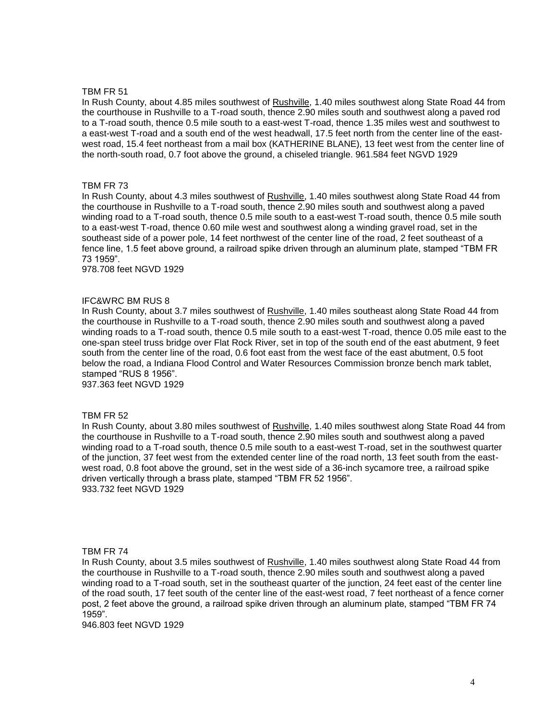In Rush County, about 4.85 miles southwest of Rushville, 1.40 miles southwest along State Road 44 from the courthouse in Rushville to a T-road south, thence 2.90 miles south and southwest along a paved rod to a T-road south, thence 0.5 mile south to a east-west T-road, thence 1.35 miles west and southwest to a east-west T-road and a south end of the west headwall, 17.5 feet north from the center line of the eastwest road, 15.4 feet northeast from a mail box (KATHERINE BLANE), 13 feet west from the center line of the north-south road, 0.7 foot above the ground, a chiseled triangle. 961.584 feet NGVD 1929

## TBM FR 73

In Rush County, about 4.3 miles southwest of Rushville, 1.40 miles southwest along State Road 44 from the courthouse in Rushville to a T-road south, thence 2.90 miles south and southwest along a paved winding road to a T-road south, thence 0.5 mile south to a east-west T-road south, thence 0.5 mile south to a east-west T-road, thence 0.60 mile west and southwest along a winding gravel road, set in the southeast side of a power pole, 14 feet northwest of the center line of the road, 2 feet southeast of a fence line, 1.5 feet above ground, a railroad spike driven through an aluminum plate, stamped "TBM FR 73 1959".

978.708 feet NGVD 1929

## IFC&WRC BM RUS 8

In Rush County, about 3.7 miles southwest of Rushville, 1.40 miles southeast along State Road 44 from the courthouse in Rushville to a T-road south, thence 2.90 miles south and southwest along a paved winding roads to a T-road south, thence 0.5 mile south to a east-west T-road, thence 0.05 mile east to the one-span steel truss bridge over Flat Rock River, set in top of the south end of the east abutment, 9 feet south from the center line of the road, 0.6 foot east from the west face of the east abutment, 0.5 foot below the road, a Indiana Flood Control and Water Resources Commission bronze bench mark tablet, stamped "RUS 8 1956".

937.363 feet NGVD 1929

## TBM FR 52

In Rush County, about 3.80 miles southwest of Rushville, 1.40 miles southwest along State Road 44 from the courthouse in Rushville to a T-road south, thence 2.90 miles south and southwest along a paved winding road to a T-road south, thence 0.5 mile south to a east-west T-road, set in the southwest quarter of the junction, 37 feet west from the extended center line of the road north, 13 feet south from the eastwest road, 0.8 foot above the ground, set in the west side of a 36-inch sycamore tree, a railroad spike driven vertically through a brass plate, stamped "TBM FR 52 1956". 933.732 feet NGVD 1929

#### TBM FR 74

In Rush County, about 3.5 miles southwest of Rushville, 1.40 miles southwest along State Road 44 from the courthouse in Rushville to a T-road south, thence 2.90 miles south and southwest along a paved winding road to a T-road south, set in the southeast quarter of the junction, 24 feet east of the center line of the road south, 17 feet south of the center line of the east-west road, 7 feet northeast of a fence corner post, 2 feet above the ground, a railroad spike driven through an aluminum plate, stamped "TBM FR 74 1959".

946.803 feet NGVD 1929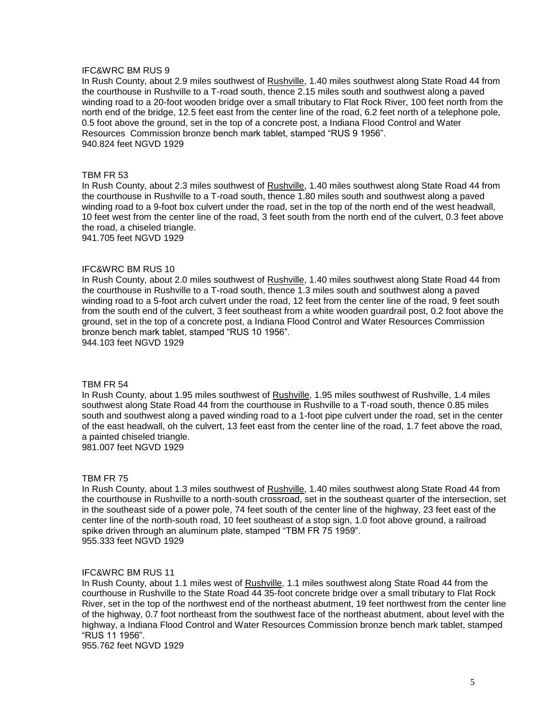## IFC&WRC BM RUS 9

In Rush County, about 2.9 miles southwest of Rushville, 1.40 miles southwest along State Road 44 from the courthouse in Rushville to a T-road south, thence 2.15 miles south and southwest along a paved winding road to a 20-foot wooden bridge over a small tributary to Flat Rock River, 100 feet north from the north end of the bridge, 12.5 feet east from the center line of the road, 6.2 feet north of a telephone pole, 0.5 foot above the ground, set in the top of a concrete post, a Indiana Flood Control and Water Resources Commission bronze bench mark tablet, stamped "RUS 9 1956". 940.824 feet NGVD 1929

#### TBM FR 53

In Rush County, about 2.3 miles southwest of Rushville, 1.40 miles southwest along State Road 44 from the courthouse in Rushville to a T-road south, thence 1.80 miles south and southwest along a paved winding road to a 9-foot box culvert under the road, set in the top of the north end of the west headwall, 10 feet west from the center line of the road, 3 feet south from the north end of the culvert, 0.3 feet above the road, a chiseled triangle.

941.705 feet NGVD 1929

## IFC&WRC BM RUS 10

In Rush County, about 2.0 miles southwest of Rushville, 1.40 miles southwest along State Road 44 from the courthouse in Rushville to a T-road south, thence 1.3 miles south and southwest along a paved winding road to a 5-foot arch culvert under the road, 12 feet from the center line of the road, 9 feet south from the south end of the culvert, 3 feet southeast from a white wooden guardrail post, 0.2 foot above the ground, set in the top of a concrete post, a Indiana Flood Control and Water Resources Commission bronze bench mark tablet, stamped "RUS 10 1956". 944.103 feet NGVD 1929

### TBM FR 54

In Rush County, about 1.95 miles southwest of Rushville, 1.95 miles southwest of Rushville, 1.4 miles southwest along State Road 44 from the courthouse in Rushville to a T-road south, thence 0.85 miles south and southwest along a paved winding road to a 1-foot pipe culvert under the road, set in the center of the east headwall, oh the culvert, 13 feet east from the center line of the road, 1.7 feet above the road, a painted chiseled triangle.

981.007 feet NGVD 1929

#### TBM FR 75

In Rush County, about 1.3 miles southwest of Rushville, 1.40 miles southwest along State Road 44 from the courthouse in Rushville to a north-south crossroad, set in the southeast quarter of the intersection, set in the southeast side of a power pole, 74 feet south of the center line of the highway, 23 feet east of the center line of the north-south road, 10 feet southeast of a stop sign, 1.0 foot above ground, a railroad spike driven through an aluminum plate, stamped "TBM FR 75 1959". 955.333 feet NGVD 1929

#### IFC&WRC BM RUS 11

In Rush County, about 1.1 miles west of Rushville, 1.1 miles southwest along State Road 44 from the courthouse in Rushville to the State Road 44 35-foot concrete bridge over a small tributary to Flat Rock River, set in the top of the northwest end of the northeast abutment, 19 feet northwest from the center line of the highway, 0.7 foot northeast from the southwest face of the northeast abutment, about level with the highway, a Indiana Flood Control and Water Resources Commission bronze bench mark tablet, stamped "RUS 11 1956".

955.762 feet NGVD 1929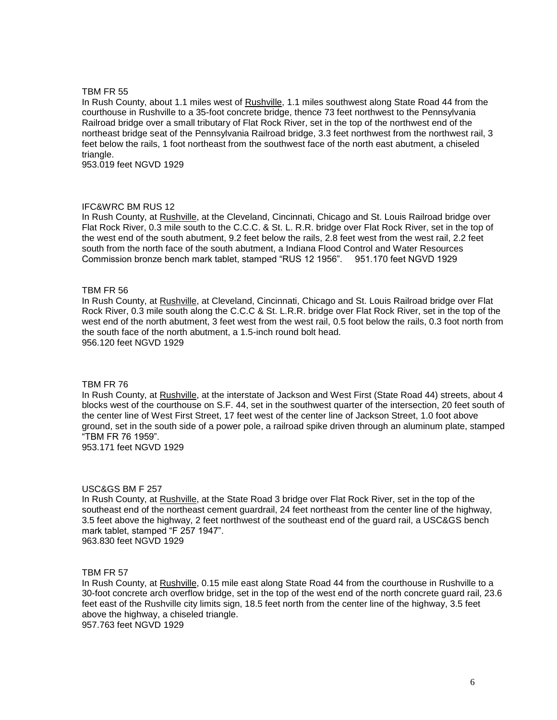In Rush County, about 1.1 miles west of Rushville, 1.1 miles southwest along State Road 44 from the courthouse in Rushville to a 35-foot concrete bridge, thence 73 feet northwest to the Pennsylvania Railroad bridge over a small tributary of Flat Rock River, set in the top of the northwest end of the northeast bridge seat of the Pennsylvania Railroad bridge, 3.3 feet northwest from the northwest rail, 3 feet below the rails, 1 foot northeast from the southwest face of the north east abutment, a chiseled triangle.

953.019 feet NGVD 1929

## IFC&WRC BM RUS 12

In Rush County, at Rushville, at the Cleveland, Cincinnati, Chicago and St. Louis Railroad bridge over Flat Rock River, 0.3 mile south to the C.C.C. & St. L. R.R. bridge over Flat Rock River, set in the top of the west end of the south abutment, 9.2 feet below the rails, 2.8 feet west from the west rail, 2.2 feet south from the north face of the south abutment, a Indiana Flood Control and Water Resources Commission bronze bench mark tablet, stamped "RUS 12 1956". 951.170 feet NGVD 1929

## TBM FR 56

In Rush County, at Rushville, at Cleveland, Cincinnati, Chicago and St. Louis Railroad bridge over Flat Rock River, 0.3 mile south along the C.C.C & St. L.R.R. bridge over Flat Rock River, set in the top of the west end of the north abutment, 3 feet west from the west rail, 0.5 foot below the rails, 0.3 foot north from the south face of the north abutment, a 1.5-inch round bolt head. 956.120 feet NGVD 1929

#### TBM FR 76

In Rush County, at Rushville, at the interstate of Jackson and West First (State Road 44) streets, about 4 blocks west of the courthouse on S.F. 44, set in the southwest quarter of the intersection, 20 feet south of the center line of West First Street, 17 feet west of the center line of Jackson Street, 1.0 foot above ground, set in the south side of a power pole, a railroad spike driven through an aluminum plate, stamped "TBM FR 76 1959".

953.171 feet NGVD 1929

#### USC&GS BM F 257

In Rush County, at Rushville, at the State Road 3 bridge over Flat Rock River, set in the top of the southeast end of the northeast cement guardrail, 24 feet northeast from the center line of the highway, 3.5 feet above the highway, 2 feet northwest of the southeast end of the guard rail, a USC&GS bench mark tablet, stamped "F 257 1947". 963.830 feet NGVD 1929

#### TBM FR 57

In Rush County, at Rushville, 0.15 mile east along State Road 44 from the courthouse in Rushville to a 30-foot concrete arch overflow bridge, set in the top of the west end of the north concrete guard rail, 23.6 feet east of the Rushville city limits sign, 18.5 feet north from the center line of the highway, 3.5 feet above the highway, a chiseled triangle. 957.763 feet NGVD 1929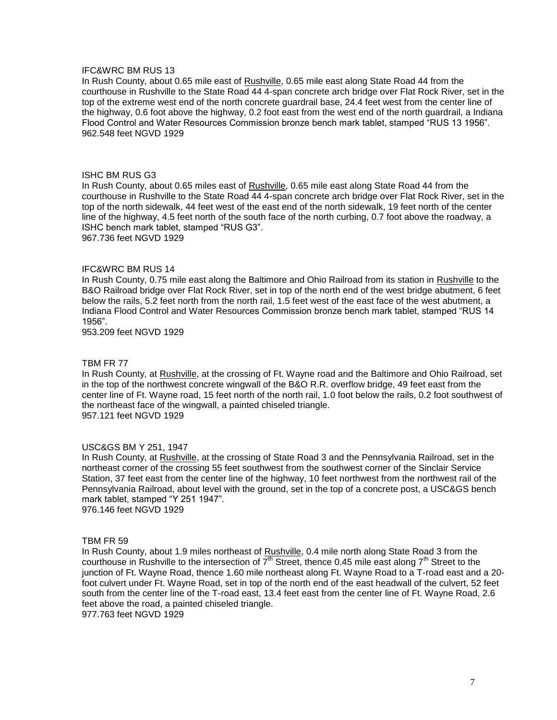## IFC&WRC BM RUS 13

In Rush County, about 0.65 mile east of Rushville, 0.65 mile east along State Road 44 from the courthouse in Rushville to the State Road 44 4-span concrete arch bridge over Flat Rock River, set in the top of the extreme west end of the north concrete guardrail base, 24.4 feet west from the center line of the highway, 0.6 foot above the highway, 0.2 foot east from the west end of the north guardrail, a Indiana Flood Control and Water Resources Commission bronze bench mark tablet, stamped "RUS 13 1956". 962.548 feet NGVD 1929

## ISHC BM RUS G3

In Rush County, about 0.65 miles east of Rushville, 0.65 mile east along State Road 44 from the courthouse in Rushville to the State Road 44 4-span concrete arch bridge over Flat Rock River, set in the top of the north sidewalk, 44 feet west of the east end of the north sidewalk, 19 feet north of the center line of the highway, 4.5 feet north of the south face of the north curbing, 0.7 foot above the roadway, a ISHC bench mark tablet, stamped "RUS G3". 967.736 feet NGVD 1929

## IFC&WRC BM RUS 14

In Rush County, 0.75 mile east along the Baltimore and Ohio Railroad from its station in Rushville to the B&O Railroad bridge over Flat Rock River, set in top of the north end of the west bridge abutment, 6 feet below the rails, 5.2 feet north from the north rail, 1.5 feet west of the east face of the west abutment, a Indiana Flood Control and Water Resources Commission bronze bench mark tablet, stamped "RUS 14 1956".

953.209 feet NGVD 1929

#### TBM FR 77

In Rush County, at Rushville, at the crossing of Ft. Wayne road and the Baltimore and Ohio Railroad, set in the top of the northwest concrete wingwall of the B&O R.R. overflow bridge, 49 feet east from the center line of Ft. Wayne road, 15 feet north of the north rail, 1.0 foot below the rails, 0.2 foot southwest of the northeast face of the wingwall, a painted chiseled triangle. 957.121 feet NGVD 1929

#### USC&GS BM Y 251, 1947

In Rush County, at Rushville, at the crossing of State Road 3 and the Pennsylvania Railroad, set in the northeast corner of the crossing 55 feet southwest from the southwest corner of the Sinclair Service Station, 37 feet east from the center line of the highway, 10 feet northwest from the northwest rail of the Pennsylvania Railroad, about level with the ground, set in the top of a concrete post, a USC&GS bench mark tablet, stamped "Y 251 1947". 976.146 feet NGVD 1929

#### TBM FR 59

In Rush County, about 1.9 miles northeast of Rushville, 0.4 mile north along State Road 3 from the courthouse in Rushville to the intersection of  $7<sup>th</sup>$  Street, thence 0.45 mile east along  $7<sup>th</sup>$  Street to the junction of Ft. Wayne Road, thence 1.60 mile northeast along Ft. Wayne Road to a T-road east and a 20 foot culvert under Ft. Wayne Road, set in top of the north end of the east headwall of the culvert, 52 feet south from the center line of the T-road east, 13.4 feet east from the center line of Ft. Wayne Road, 2.6 feet above the road, a painted chiseled triangle.

977.763 feet NGVD 1929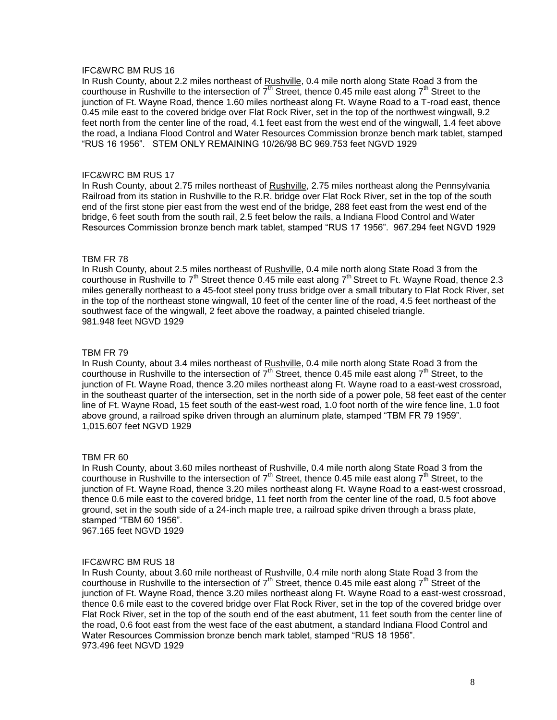## IFC&WRC BM RUS 16

In Rush County, about 2.2 miles northeast of Rushville, 0.4 mile north along State Road 3 from the courthouse in Rushville to the intersection of  $7<sup>th</sup>$  Street, thence 0.45 mile east along  $7<sup>th</sup>$  Street to the junction of Ft. Wayne Road, thence 1.60 miles northeast along Ft. Wayne Road to a T-road east, thence 0.45 mile east to the covered bridge over Flat Rock River, set in the top of the northwest wingwall, 9.2 feet north from the center line of the road, 4.1 feet east from the west end of the wingwall, 1.4 feet above the road, a Indiana Flood Control and Water Resources Commission bronze bench mark tablet, stamped "RUS 16 1956". STEM ONLY REMAINING 10/26/98 BC 969.753 feet NGVD 1929

## IFC&WRC BM RUS 17

In Rush County, about 2.75 miles northeast of Rushville, 2.75 miles northeast along the Pennsylvania Railroad from its station in Rushville to the R.R. bridge over Flat Rock River, set in the top of the south end of the first stone pier east from the west end of the bridge, 288 feet east from the west end of the bridge, 6 feet south from the south rail, 2.5 feet below the rails, a Indiana Flood Control and Water Resources Commission bronze bench mark tablet, stamped "RUS 17 1956". 967.294 feet NGVD 1929

## TBM FR 78

In Rush County, about 2.5 miles northeast of Rushville, 0.4 mile north along State Road 3 from the courthouse in Rushville to  $7<sup>th</sup>$  Street thence 0.45 mile east along  $7<sup>th</sup>$  Street to Ft. Wayne Road, thence 2.3 miles generally northeast to a 45-foot steel pony truss bridge over a small tributary to Flat Rock River, set in the top of the northeast stone wingwall, 10 feet of the center line of the road, 4.5 feet northeast of the southwest face of the wingwall, 2 feet above the roadway, a painted chiseled triangle. 981.948 feet NGVD 1929

## TBM FR 79

In Rush County, about 3.4 miles northeast of Rushville, 0.4 mile north along State Road 3 from the courthouse in Rushville to the intersection of  $7^{\text{th}}$  Street, thence 0.45 mile east along  $7^{\text{th}}$  Street, to the junction of Ft. Wayne Road, thence 3.20 miles northeast along Ft. Wayne road to a east-west crossroad, in the southeast quarter of the intersection, set in the north side of a power pole, 58 feet east of the center line of Ft. Wayne Road, 15 feet south of the east-west road, 1.0 foot north of the wire fence line, 1.0 foot above ground, a railroad spike driven through an aluminum plate, stamped "TBM FR 79 1959". 1,015.607 feet NGVD 1929

## TBM FR 60

In Rush County, about 3.60 miles northeast of Rushville, 0.4 mile north along State Road 3 from the courthouse in Rushville to the intersection of  $7<sup>th</sup>$  Street, thence 0.45 mile east along  $7<sup>th</sup>$  Street, to the junction of Ft. Wayne Road, thence 3.20 miles northeast along Ft. Wayne Road to a east-west crossroad, thence 0.6 mile east to the covered bridge, 11 feet north from the center line of the road, 0.5 foot above ground, set in the south side of a 24-inch maple tree, a railroad spike driven through a brass plate, stamped "TBM 60 1956".

967.165 feet NGVD 1929

## IFC&WRC BM RUS 18

In Rush County, about 3.60 mile northeast of Rushville, 0.4 mile north along State Road 3 from the courthouse in Rushville to the intersection of  $7<sup>th</sup>$  Street, thence 0.45 mile east along  $7<sup>th</sup>$  Street of the junction of Ft. Wayne Road, thence 3.20 miles northeast along Ft. Wayne Road to a east-west crossroad, thence 0.6 mile east to the covered bridge over Flat Rock River, set in the top of the covered bridge over Flat Rock River, set in the top of the south end of the east abutment, 11 feet south from the center line of the road, 0.6 foot east from the west face of the east abutment, a standard Indiana Flood Control and Water Resources Commission bronze bench mark tablet, stamped "RUS 18 1956". 973.496 feet NGVD 1929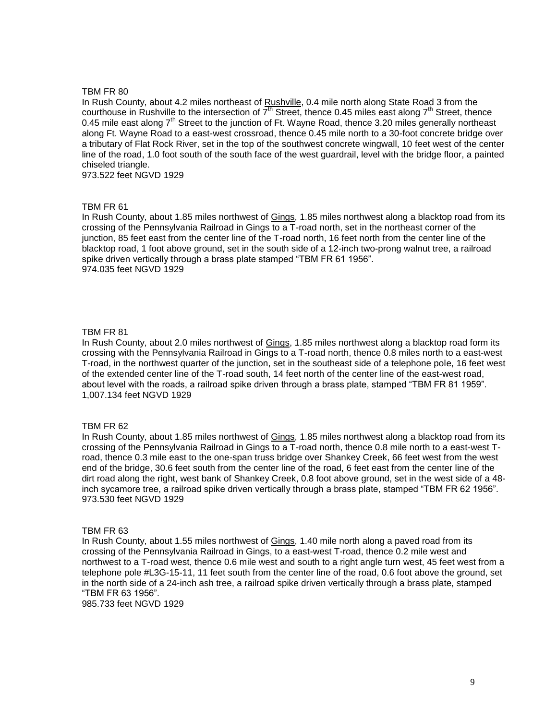In Rush County, about 4.2 miles northeast of Rushville, 0.4 mile north along State Road 3 from the courthouse in Rushville to the intersection of  $7<sup>th</sup>$  Street, thence 0.45 miles east along  $7<sup>th</sup>$  Street, thence 0.45 mile east along  $7<sup>th</sup>$  Street to the junction of Ft. Wayne Road, thence 3.20 miles generally northeast along Ft. Wayne Road to a east-west crossroad, thence 0.45 mile north to a 30-foot concrete bridge over a tributary of Flat Rock River, set in the top of the southwest concrete wingwall, 10 feet west of the center line of the road, 1.0 foot south of the south face of the west guardrail, level with the bridge floor, a painted chiseled triangle.

973.522 feet NGVD 1929

## TBM FR 61

In Rush County, about 1.85 miles northwest of Gings, 1.85 miles northwest along a blacktop road from its crossing of the Pennsylvania Railroad in Gings to a T-road north, set in the northeast corner of the junction, 85 feet east from the center line of the T-road north, 16 feet north from the center line of the blacktop road, 1 foot above ground, set in the south side of a 12-inch two-prong walnut tree, a railroad spike driven vertically through a brass plate stamped "TBM FR 61 1956". 974.035 feet NGVD 1929

## TBM FR 81

In Rush County, about 2.0 miles northwest of Gings, 1.85 miles northwest along a blacktop road form its crossing with the Pennsylvania Railroad in Gings to a T-road north, thence 0.8 miles north to a east-west T-road, in the northwest quarter of the junction, set in the southeast side of a telephone pole, 16 feet west of the extended center line of the T-road south, 14 feet north of the center line of the east-west road, about level with the roads, a railroad spike driven through a brass plate, stamped "TBM FR 81 1959". 1,007.134 feet NGVD 1929

## TBM FR 62

In Rush County, about 1.85 miles northwest of Gings, 1.85 miles northwest along a blacktop road from its crossing of the Pennsylvania Railroad in Gings to a T-road north, thence 0.8 mile north to a east-west Troad, thence 0.3 mile east to the one-span truss bridge over Shankey Creek, 66 feet west from the west end of the bridge, 30.6 feet south from the center line of the road, 6 feet east from the center line of the dirt road along the right, west bank of Shankey Creek, 0.8 foot above ground, set in the west side of a 48 inch sycamore tree, a railroad spike driven vertically through a brass plate, stamped "TBM FR 62 1956". 973.530 feet NGVD 1929

## TBM FR 63

In Rush County, about 1.55 miles northwest of Gings, 1.40 mile north along a paved road from its crossing of the Pennsylvania Railroad in Gings, to a east-west T-road, thence 0.2 mile west and northwest to a T-road west, thence 0.6 mile west and south to a right angle turn west, 45 feet west from a telephone pole #L3G-15-11, 11 feet south from the center line of the road, 0.6 foot above the ground, set in the north side of a 24-inch ash tree, a railroad spike driven vertically through a brass plate, stamped "TBM FR 63 1956".

985.733 feet NGVD 1929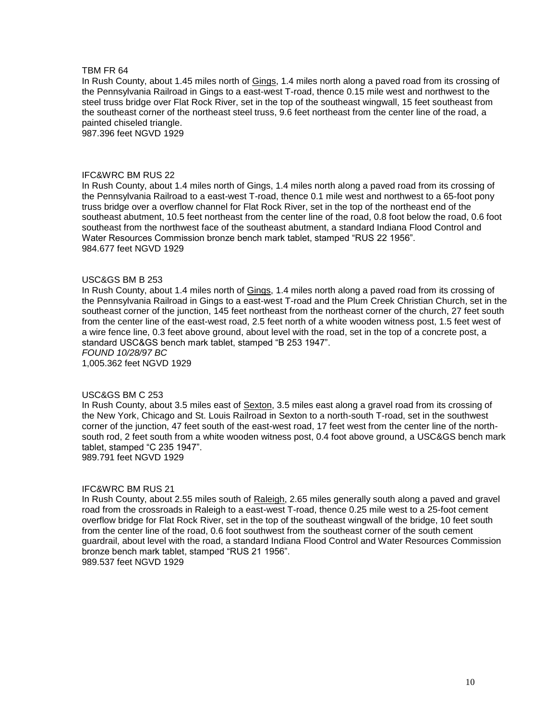In Rush County, about 1.45 miles north of Gings, 1.4 miles north along a paved road from its crossing of the Pennsylvania Railroad in Gings to a east-west T-road, thence 0.15 mile west and northwest to the steel truss bridge over Flat Rock River, set in the top of the southeast wingwall, 15 feet southeast from the southeast corner of the northeast steel truss, 9.6 feet northeast from the center line of the road, a painted chiseled triangle.

987.396 feet NGVD 1929

#### IFC&WRC BM RUS 22

In Rush County, about 1.4 miles north of Gings, 1.4 miles north along a paved road from its crossing of the Pennsylvania Railroad to a east-west T-road, thence 0.1 mile west and northwest to a 65-foot pony truss bridge over a overflow channel for Flat Rock River, set in the top of the northeast end of the southeast abutment, 10.5 feet northeast from the center line of the road, 0.8 foot below the road, 0.6 foot southeast from the northwest face of the southeast abutment, a standard Indiana Flood Control and Water Resources Commission bronze bench mark tablet, stamped "RUS 22 1956". 984.677 feet NGVD 1929

## USC&GS BM B 253

In Rush County, about 1.4 miles north of Gings, 1.4 miles north along a paved road from its crossing of the Pennsylvania Railroad in Gings to a east-west T-road and the Plum Creek Christian Church, set in the southeast corner of the junction, 145 feet northeast from the northeast corner of the church, 27 feet south from the center line of the east-west road, 2.5 feet north of a white wooden witness post, 1.5 feet west of a wire fence line, 0.3 feet above ground, about level with the road, set in the top of a concrete post, a standard USC&GS bench mark tablet, stamped "B 253 1947". *FOUND 10/28/97 BC*

1,005.362 feet NGVD 1929

## USC&GS BM C 253

In Rush County, about 3.5 miles east of Sexton, 3.5 miles east along a gravel road from its crossing of the New York, Chicago and St. Louis Railroad in Sexton to a north-south T-road, set in the southwest corner of the junction, 47 feet south of the east-west road, 17 feet west from the center line of the northsouth rod, 2 feet south from a white wooden witness post, 0.4 foot above ground, a USC&GS bench mark tablet, stamped "C 235 1947".

989.791 feet NGVD 1929

#### IFC&WRC BM RUS 21

In Rush County, about 2.55 miles south of Raleigh, 2.65 miles generally south along a paved and gravel road from the crossroads in Raleigh to a east-west T-road, thence 0.25 mile west to a 25-foot cement overflow bridge for Flat Rock River, set in the top of the southeast wingwall of the bridge, 10 feet south from the center line of the road, 0.6 foot southwest from the southeast corner of the south cement guardrail, about level with the road, a standard Indiana Flood Control and Water Resources Commission bronze bench mark tablet, stamped "RUS 21 1956". 989.537 feet NGVD 1929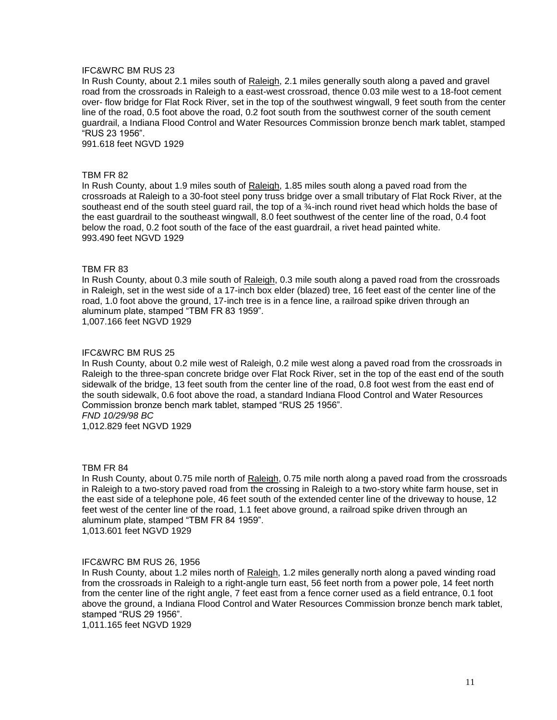## IFC&WRC BM RUS 23

In Rush County, about 2.1 miles south of Raleigh, 2.1 miles generally south along a paved and gravel road from the crossroads in Raleigh to a east-west crossroad, thence 0.03 mile west to a 18-foot cement over- flow bridge for Flat Rock River, set in the top of the southwest wingwall, 9 feet south from the center line of the road, 0.5 foot above the road, 0.2 foot south from the southwest corner of the south cement guardrail, a Indiana Flood Control and Water Resources Commission bronze bench mark tablet, stamped "RUS 23 1956".

991.618 feet NGVD 1929

#### TBM FR 82

In Rush County, about 1.9 miles south of Raleigh, 1.85 miles south along a paved road from the crossroads at Raleigh to a 30-foot steel pony truss bridge over a small tributary of Flat Rock River, at the southeast end of the south steel guard rail, the top of a  $\frac{3}{4}$ -inch round rivet head which holds the base of the east guardrail to the southeast wingwall, 8.0 feet southwest of the center line of the road, 0.4 foot below the road, 0.2 foot south of the face of the east guardrail, a rivet head painted white. 993.490 feet NGVD 1929

## TBM FR 83

In Rush County, about 0.3 mile south of Raleigh, 0.3 mile south along a paved road from the crossroads in Raleigh, set in the west side of a 17-inch box elder (blazed) tree, 16 feet east of the center line of the road, 1.0 foot above the ground, 17-inch tree is in a fence line, a railroad spike driven through an aluminum plate, stamped "TBM FR 83 1959". 1,007.166 feet NGVD 1929

## IFC&WRC BM RUS 25

In Rush County, about 0.2 mile west of Raleigh, 0.2 mile west along a paved road from the crossroads in Raleigh to the three-span concrete bridge over Flat Rock River, set in the top of the east end of the south sidewalk of the bridge, 13 feet south from the center line of the road, 0.8 foot west from the east end of the south sidewalk, 0.6 foot above the road, a standard Indiana Flood Control and Water Resources Commission bronze bench mark tablet, stamped "RUS 25 1956". *FND 10/29/98 BC*

1,012.829 feet NGVD 1929

#### TBM FR 84

In Rush County, about 0.75 mile north of Raleigh, 0.75 mile north along a paved road from the crossroads in Raleigh to a two-story paved road from the crossing in Raleigh to a two-story white farm house, set in the east side of a telephone pole, 46 feet south of the extended center line of the driveway to house, 12 feet west of the center line of the road, 1.1 feet above ground, a railroad spike driven through an aluminum plate, stamped "TBM FR 84 1959".

1,013.601 feet NGVD 1929

#### IFC&WRC BM RUS 26, 1956

In Rush County, about 1.2 miles north of Raleigh, 1.2 miles generally north along a paved winding road from the crossroads in Raleigh to a right-angle turn east, 56 feet north from a power pole, 14 feet north from the center line of the right angle, 7 feet east from a fence corner used as a field entrance, 0.1 foot above the ground, a Indiana Flood Control and Water Resources Commission bronze bench mark tablet, stamped "RUS 29 1956".

1,011.165 feet NGVD 1929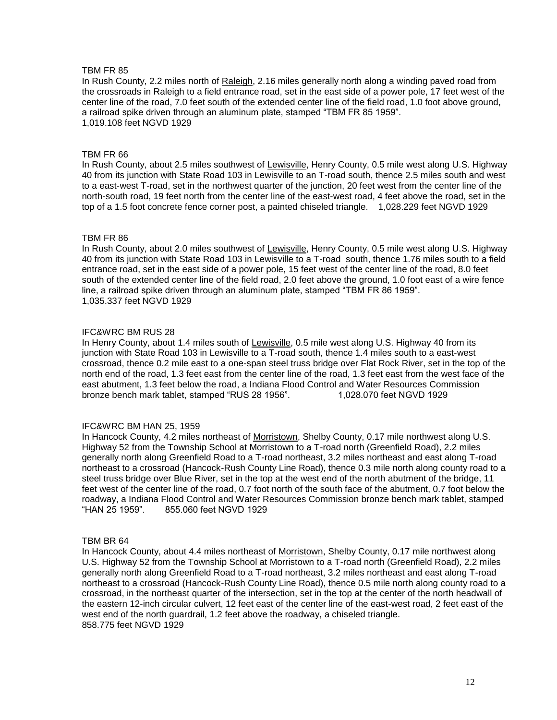In Rush County, 2.2 miles north of Raleigh, 2.16 miles generally north along a winding paved road from the crossroads in Raleigh to a field entrance road, set in the east side of a power pole, 17 feet west of the center line of the road, 7.0 feet south of the extended center line of the field road, 1.0 foot above ground, a railroad spike driven through an aluminum plate, stamped "TBM FR 85 1959". 1,019.108 feet NGVD 1929

## TBM FR 66

In Rush County, about 2.5 miles southwest of Lewisville, Henry County, 0.5 mile west along U.S. Highway 40 from its junction with State Road 103 in Lewisville to an T-road south, thence 2.5 miles south and west to a east-west T-road, set in the northwest quarter of the junction, 20 feet west from the center line of the north-south road, 19 feet north from the center line of the east-west road, 4 feet above the road, set in the top of a 1.5 foot concrete fence corner post, a painted chiseled triangle. 1,028.229 feet NGVD 1929

## TBM FR 86

In Rush County, about 2.0 miles southwest of Lewisville, Henry County, 0.5 mile west along U.S. Highway 40 from its junction with State Road 103 in Lewisville to a T-road south, thence 1.76 miles south to a field entrance road, set in the east side of a power pole, 15 feet west of the center line of the road, 8.0 feet south of the extended center line of the field road, 2.0 feet above the ground, 1.0 foot east of a wire fence line, a railroad spike driven through an aluminum plate, stamped "TBM FR 86 1959". 1,035.337 feet NGVD 1929

## IFC&WRC BM RUS 28

In Henry County, about 1.4 miles south of Lewisville, 0.5 mile west along U.S. Highway 40 from its junction with State Road 103 in Lewisville to a T-road south, thence 1.4 miles south to a east-west crossroad, thence 0.2 mile east to a one-span steel truss bridge over Flat Rock River, set in the top of the north end of the road, 1.3 feet east from the center line of the road, 1.3 feet east from the west face of the east abutment, 1.3 feet below the road, a Indiana Flood Control and Water Resources Commission bronze bench mark tablet, stamped "RUS 28 1956". 1,028.070 feet NGVD 1929

## IFC&WRC BM HAN 25, 1959

In Hancock County, 4.2 miles northeast of Morristown, Shelby County, 0.17 mile northwest along U.S. Highway 52 from the Township School at Morristown to a T-road north (Greenfield Road), 2.2 miles generally north along Greenfield Road to a T-road northeast, 3.2 miles northeast and east along T-road northeast to a crossroad (Hancock-Rush County Line Road), thence 0.3 mile north along county road to a steel truss bridge over Blue River, set in the top at the west end of the north abutment of the bridge, 11 feet west of the center line of the road, 0.7 foot north of the south face of the abutment, 0.7 foot below the roadway, a Indiana Flood Control and Water Resources Commission bronze bench mark tablet, stamped<br>"HAN 25 1959". 855.060 feet NGVD 1929 855.060 feet NGVD 1929

## TBM BR 64

In Hancock County, about 4.4 miles northeast of Morristown, Shelby County, 0.17 mile northwest along U.S. Highway 52 from the Township School at Morristown to a T-road north (Greenfield Road), 2.2 miles generally north along Greenfield Road to a T-road northeast, 3.2 miles northeast and east along T-road northeast to a crossroad (Hancock-Rush County Line Road), thence 0.5 mile north along county road to a crossroad, in the northeast quarter of the intersection, set in the top at the center of the north headwall of the eastern 12-inch circular culvert, 12 feet east of the center line of the east-west road, 2 feet east of the west end of the north guardrail, 1.2 feet above the roadway, a chiseled triangle. 858.775 feet NGVD 1929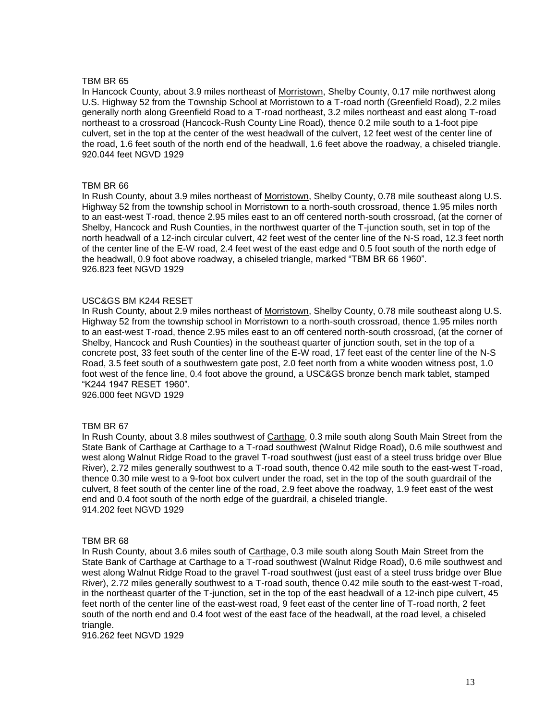In Hancock County, about 3.9 miles northeast of Morristown, Shelby County, 0.17 mile northwest along U.S. Highway 52 from the Township School at Morristown to a T-road north (Greenfield Road), 2.2 miles generally north along Greenfield Road to a T-road northeast, 3.2 miles northeast and east along T-road northeast to a crossroad (Hancock-Rush County Line Road), thence 0.2 mile south to a 1-foot pipe culvert, set in the top at the center of the west headwall of the culvert, 12 feet west of the center line of the road, 1.6 feet south of the north end of the headwall, 1.6 feet above the roadway, a chiseled triangle. 920.044 feet NGVD 1929

## TBM BR 66

In Rush County, about 3.9 miles northeast of Morristown, Shelby County, 0.78 mile southeast along U.S. Highway 52 from the township school in Morristown to a north-south crossroad, thence 1.95 miles north to an east-west T-road, thence 2.95 miles east to an off centered north-south crossroad, (at the corner of Shelby, Hancock and Rush Counties, in the northwest quarter of the T-junction south, set in top of the north headwall of a 12-inch circular culvert, 42 feet west of the center line of the N-S road, 12.3 feet north of the center line of the E-W road, 2.4 feet west of the east edge and 0.5 foot south of the north edge of the headwall, 0.9 foot above roadway, a chiseled triangle, marked "TBM BR 66 1960". 926.823 feet NGVD 1929

## USC&GS BM K244 RESET

In Rush County, about 2.9 miles northeast of Morristown, Shelby County, 0.78 mile southeast along U.S. Highway 52 from the township school in Morristown to a north-south crossroad, thence 1.95 miles north to an east-west T-road, thence 2.95 miles east to an off centered north-south crossroad, (at the corner of Shelby, Hancock and Rush Counties) in the southeast quarter of junction south, set in the top of a concrete post, 33 feet south of the center line of the E-W road, 17 feet east of the center line of the N-S Road, 3.5 feet south of a southwestern gate post, 2.0 feet north from a white wooden witness post, 1.0 foot west of the fence line, 0.4 foot above the ground, a USC&GS bronze bench mark tablet, stamped "K244 1947 RESET 1960".

926.000 feet NGVD 1929

## TBM BR 67

In Rush County, about 3.8 miles southwest of Carthage, 0.3 mile south along South Main Street from the State Bank of Carthage at Carthage to a T-road southwest (Walnut Ridge Road), 0.6 mile southwest and west along Walnut Ridge Road to the gravel T-road southwest (just east of a steel truss bridge over Blue River), 2.72 miles generally southwest to a T-road south, thence 0.42 mile south to the east-west T-road, thence 0.30 mile west to a 9-foot box culvert under the road, set in the top of the south guardrail of the culvert, 8 feet south of the center line of the road, 2.9 feet above the roadway, 1.9 feet east of the west end and 0.4 foot south of the north edge of the guardrail, a chiseled triangle. 914.202 feet NGVD 1929

## TBM BR 68

In Rush County, about 3.6 miles south of Carthage, 0.3 mile south along South Main Street from the State Bank of Carthage at Carthage to a T-road southwest (Walnut Ridge Road), 0.6 mile southwest and west along Walnut Ridge Road to the gravel T-road southwest (just east of a steel truss bridge over Blue River), 2.72 miles generally southwest to a T-road south, thence 0.42 mile south to the east-west T-road, in the northeast quarter of the T-junction, set in the top of the east headwall of a 12-inch pipe culvert, 45 feet north of the center line of the east-west road, 9 feet east of the center line of T-road north, 2 feet south of the north end and 0.4 foot west of the east face of the headwall, at the road level, a chiseled triangle.

916.262 feet NGVD 1929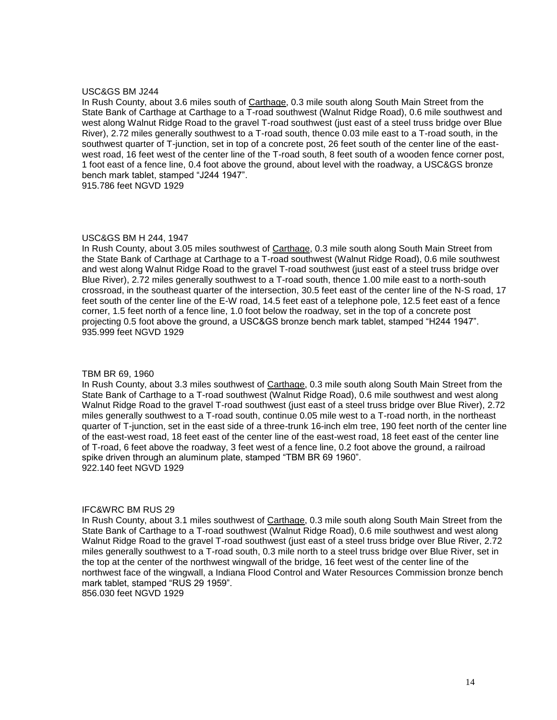## USC&GS BM J244

In Rush County, about 3.6 miles south of Carthage, 0.3 mile south along South Main Street from the State Bank of Carthage at Carthage to a T-road southwest (Walnut Ridge Road), 0.6 mile southwest and west along Walnut Ridge Road to the gravel T-road southwest (just east of a steel truss bridge over Blue River), 2.72 miles generally southwest to a T-road south, thence 0.03 mile east to a T-road south, in the southwest quarter of T-junction, set in top of a concrete post, 26 feet south of the center line of the eastwest road, 16 feet west of the center line of the T-road south, 8 feet south of a wooden fence corner post, 1 foot east of a fence line, 0.4 foot above the ground, about level with the roadway, a USC&GS bronze bench mark tablet, stamped "J244 1947".

915.786 feet NGVD 1929

## USC&GS BM H 244, 1947

In Rush County, about 3.05 miles southwest of Carthage, 0.3 mile south along South Main Street from the State Bank of Carthage at Carthage to a T-road southwest (Walnut Ridge Road), 0.6 mile southwest and west along Walnut Ridge Road to the gravel T-road southwest (just east of a steel truss bridge over Blue River), 2.72 miles generally southwest to a T-road south, thence 1.00 mile east to a north-south crossroad, in the southeast quarter of the intersection, 30.5 feet east of the center line of the N-S road, 17 feet south of the center line of the E-W road, 14.5 feet east of a telephone pole, 12.5 feet east of a fence corner, 1.5 feet north of a fence line, 1.0 foot below the roadway, set in the top of a concrete post projecting 0.5 foot above the ground, a USC&GS bronze bench mark tablet, stamped "H244 1947". 935.999 feet NGVD 1929

#### TBM BR 69, 1960

In Rush County, about 3.3 miles southwest of Carthage, 0.3 mile south along South Main Street from the State Bank of Carthage to a T-road southwest (Walnut Ridge Road), 0.6 mile southwest and west along Walnut Ridge Road to the gravel T-road southwest (just east of a steel truss bridge over Blue River), 2.72 miles generally southwest to a T-road south, continue 0.05 mile west to a T-road north, in the northeast quarter of T-junction, set in the east side of a three-trunk 16-inch elm tree, 190 feet north of the center line of the east-west road, 18 feet east of the center line of the east-west road, 18 feet east of the center line of T-road, 6 feet above the roadway, 3 feet west of a fence line, 0.2 foot above the ground, a railroad spike driven through an aluminum plate, stamped "TBM BR 69 1960". 922.140 feet NGVD 1929

## IFC&WRC BM RUS 29

In Rush County, about 3.1 miles southwest of Carthage, 0.3 mile south along South Main Street from the State Bank of Carthage to a T-road southwest (Walnut Ridge Road), 0.6 mile southwest and west along Walnut Ridge Road to the gravel T-road southwest (just east of a steel truss bridge over Blue River, 2.72 miles generally southwest to a T-road south, 0.3 mile north to a steel truss bridge over Blue River, set in the top at the center of the northwest wingwall of the bridge, 16 feet west of the center line of the northwest face of the wingwall, a Indiana Flood Control and Water Resources Commission bronze bench mark tablet, stamped "RUS 29 1959".

856.030 feet NGVD 1929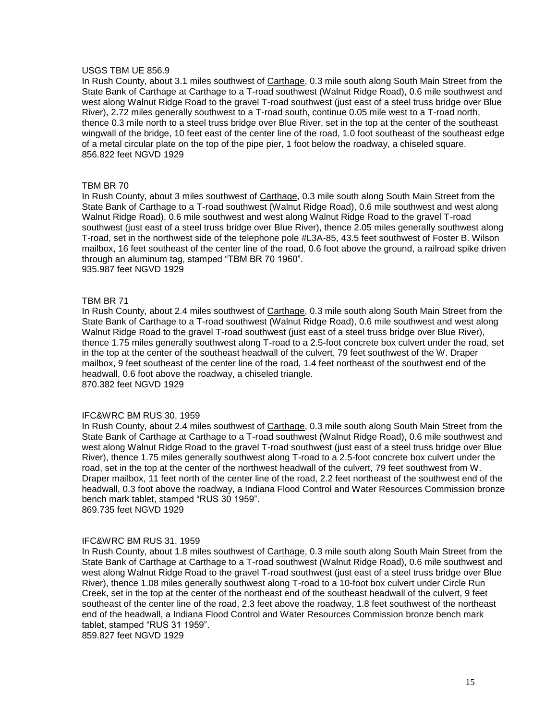## USGS TBM UE 856.9

In Rush County, about 3.1 miles southwest of Carthage, 0.3 mile south along South Main Street from the State Bank of Carthage at Carthage to a T-road southwest (Walnut Ridge Road), 0.6 mile southwest and west along Walnut Ridge Road to the gravel T-road southwest (just east of a steel truss bridge over Blue River), 2.72 miles generally southwest to a T-road south, continue 0.05 mile west to a T-road north, thence 0.3 mile north to a steel truss bridge over Blue River, set in the top at the center of the southeast wingwall of the bridge, 10 feet east of the center line of the road, 1.0 foot southeast of the southeast edge of a metal circular plate on the top of the pipe pier, 1 foot below the roadway, a chiseled square. 856.822 feet NGVD 1929

## TBM BR 70

In Rush County, about 3 miles southwest of Carthage, 0.3 mile south along South Main Street from the State Bank of Carthage to a T-road southwest (Walnut Ridge Road), 0.6 mile southwest and west along Walnut Ridge Road), 0.6 mile southwest and west along Walnut Ridge Road to the gravel T-road southwest (just east of a steel truss bridge over Blue River), thence 2.05 miles generally southwest along T-road, set in the northwest side of the telephone pole #L3A-85, 43.5 feet southwest of Foster B. Wilson mailbox, 16 feet southeast of the center line of the road, 0.6 foot above the ground, a railroad spike driven through an aluminum tag, stamped "TBM BR 70 1960". 935.987 feet NGVD 1929

## TBM BR 71

In Rush County, about 2.4 miles southwest of Carthage, 0.3 mile south along South Main Street from the State Bank of Carthage to a T-road southwest (Walnut Ridge Road), 0.6 mile southwest and west along Walnut Ridge Road to the gravel T-road southwest (just east of a steel truss bridge over Blue River), thence 1.75 miles generally southwest along T-road to a 2.5-foot concrete box culvert under the road, set in the top at the center of the southeast headwall of the culvert, 79 feet southwest of the W. Draper mailbox, 9 feet southeast of the center line of the road, 1.4 feet northeast of the southwest end of the headwall, 0.6 foot above the roadway, a chiseled triangle. 870.382 feet NGVD 1929

#### IFC&WRC BM RUS 30, 1959

In Rush County, about 2.4 miles southwest of Carthage, 0.3 mile south along South Main Street from the State Bank of Carthage at Carthage to a T-road southwest (Walnut Ridge Road), 0.6 mile southwest and west along Walnut Ridge Road to the gravel T-road southwest (just east of a steel truss bridge over Blue River), thence 1.75 miles generally southwest along T-road to a 2.5-foot concrete box culvert under the road, set in the top at the center of the northwest headwall of the culvert, 79 feet southwest from W. Draper mailbox, 11 feet north of the center line of the road, 2.2 feet northeast of the southwest end of the headwall, 0.3 foot above the roadway, a Indiana Flood Control and Water Resources Commission bronze bench mark tablet, stamped "RUS 30 1959".

869.735 feet NGVD 1929

#### IFC&WRC BM RUS 31, 1959

In Rush County, about 1.8 miles southwest of Carthage, 0.3 mile south along South Main Street from the State Bank of Carthage at Carthage to a T-road southwest (Walnut Ridge Road), 0.6 mile southwest and west along Walnut Ridge Road to the gravel T-road southwest (just east of a steel truss bridge over Blue River), thence 1.08 miles generally southwest along T-road to a 10-foot box culvert under Circle Run Creek, set in the top at the center of the northeast end of the southeast headwall of the culvert, 9 feet southeast of the center line of the road, 2.3 feet above the roadway, 1.8 feet southwest of the northeast end of the headwall, a Indiana Flood Control and Water Resources Commission bronze bench mark tablet, stamped "RUS 31 1959".

859.827 feet NGVD 1929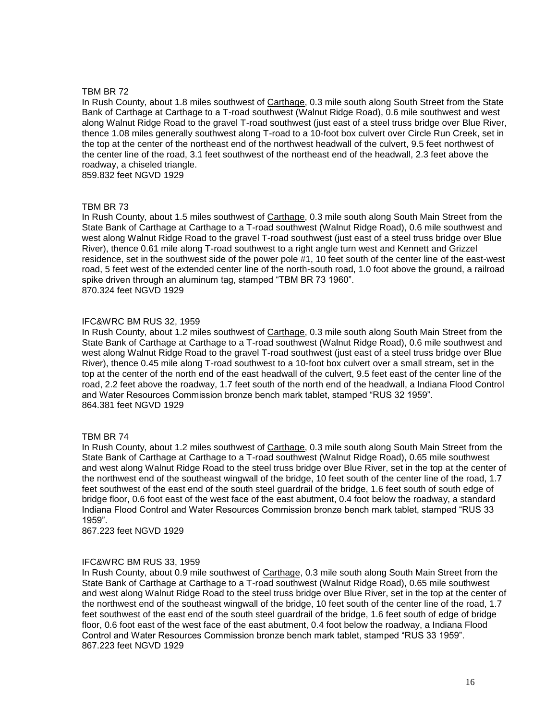In Rush County, about 1.8 miles southwest of Carthage, 0.3 mile south along South Street from the State Bank of Carthage at Carthage to a T-road southwest (Walnut Ridge Road), 0.6 mile southwest and west along Walnut Ridge Road to the gravel T-road southwest (just east of a steel truss bridge over Blue River, thence 1.08 miles generally southwest along T-road to a 10-foot box culvert over Circle Run Creek, set in the top at the center of the northeast end of the northwest headwall of the culvert, 9.5 feet northwest of the center line of the road, 3.1 feet southwest of the northeast end of the headwall, 2.3 feet above the roadway, a chiseled triangle.

859.832 feet NGVD 1929

## TBM BR 73

In Rush County, about 1.5 miles southwest of Carthage, 0.3 mile south along South Main Street from the State Bank of Carthage at Carthage to a T-road southwest (Walnut Ridge Road), 0.6 mile southwest and west along Walnut Ridge Road to the gravel T-road southwest (just east of a steel truss bridge over Blue River), thence 0.61 mile along T-road southwest to a right angle turn west and Kennett and Grizzel residence, set in the southwest side of the power pole #1, 10 feet south of the center line of the east-west road, 5 feet west of the extended center line of the north-south road, 1.0 foot above the ground, a railroad spike driven through an aluminum tag, stamped "TBM BR 73 1960". 870.324 feet NGVD 1929

## IFC&WRC BM RUS 32, 1959

In Rush County, about 1.2 miles southwest of Carthage, 0.3 mile south along South Main Street from the State Bank of Carthage at Carthage to a T-road southwest (Walnut Ridge Road), 0.6 mile southwest and west along Walnut Ridge Road to the gravel T-road southwest (just east of a steel truss bridge over Blue River), thence 0.45 mile along T-road southwest to a 10-foot box culvert over a small stream, set in the top at the center of the north end of the east headwall of the culvert, 9.5 feet east of the center line of the road, 2.2 feet above the roadway, 1.7 feet south of the north end of the headwall, a Indiana Flood Control and Water Resources Commission bronze bench mark tablet, stamped "RUS 32 1959". 864.381 feet NGVD 1929

## TBM BR 74

In Rush County, about 1.2 miles southwest of Carthage, 0.3 mile south along South Main Street from the State Bank of Carthage at Carthage to a T-road southwest (Walnut Ridge Road), 0.65 mile southwest and west along Walnut Ridge Road to the steel truss bridge over Blue River, set in the top at the center of the northwest end of the southeast wingwall of the bridge, 10 feet south of the center line of the road, 1.7 feet southwest of the east end of the south steel guardrail of the bridge, 1.6 feet south of south edge of bridge floor, 0.6 foot east of the west face of the east abutment, 0.4 foot below the roadway, a standard Indiana Flood Control and Water Resources Commission bronze bench mark tablet, stamped "RUS 33 1959".

867.223 feet NGVD 1929

## IFC&WRC BM RUS 33, 1959

In Rush County, about 0.9 mile southwest of Carthage, 0.3 mile south along South Main Street from the State Bank of Carthage at Carthage to a T-road southwest (Walnut Ridge Road), 0.65 mile southwest and west along Walnut Ridge Road to the steel truss bridge over Blue River, set in the top at the center of the northwest end of the southeast wingwall of the bridge, 10 feet south of the center line of the road, 1.7 feet southwest of the east end of the south steel guardrail of the bridge, 1.6 feet south of edge of bridge floor, 0.6 foot east of the west face of the east abutment, 0.4 foot below the roadway, a Indiana Flood Control and Water Resources Commission bronze bench mark tablet, stamped "RUS 33 1959". 867.223 feet NGVD 1929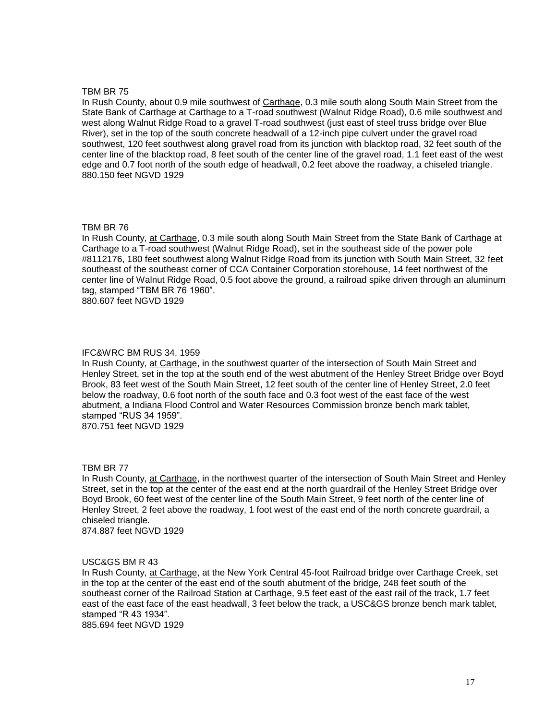In Rush County, about 0.9 mile southwest of Carthage, 0.3 mile south along South Main Street from the State Bank of Carthage at Carthage to a T-road southwest (Walnut Ridge Road), 0.6 mile southwest and west along Walnut Ridge Road to a gravel T-road southwest (just east of steel truss bridge over Blue River), set in the top of the south concrete headwall of a 12-inch pipe culvert under the gravel road southwest, 120 feet southwest along gravel road from its junction with blacktop road, 32 feet south of the center line of the blacktop road, 8 feet south of the center line of the gravel road, 1.1 feet east of the west edge and 0.7 foot north of the south edge of headwall, 0.2 feet above the roadway, a chiseled triangle. 880.150 feet NGVD 1929

## TBM BR 76

In Rush County, at Carthage, 0.3 mile south along South Main Street from the State Bank of Carthage at Carthage to a T-road southwest (Walnut Ridge Road), set in the southeast side of the power pole #8112176, 180 feet southwest along Walnut Ridge Road from its junction with South Main Street, 32 feet southeast of the southeast corner of CCA Container Corporation storehouse, 14 feet northwest of the center line of Walnut Ridge Road, 0.5 foot above the ground, a railroad spike driven through an aluminum tag, stamped "TBM BR 76 1960".

880.607 feet NGVD 1929

#### IFC&WRC BM RUS 34, 1959

In Rush County, at Carthage, in the southwest quarter of the intersection of South Main Street and Henley Street, set in the top at the south end of the west abutment of the Henley Street Bridge over Boyd Brook, 83 feet west of the South Main Street, 12 feet south of the center line of Henley Street, 2.0 feet below the roadway, 0.6 foot north of the south face and 0.3 foot west of the east face of the west abutment, a Indiana Flood Control and Water Resources Commission bronze bench mark tablet, stamped "RUS 34 1959".

870.751 feet NGVD 1929

#### TBM BR 77

In Rush County, at Carthage, in the northwest quarter of the intersection of South Main Street and Henley Street, set in the top at the center of the east end at the north guardrail of the Henley Street Bridge over Boyd Brook, 60 feet west of the center line of the South Main Street, 9 feet north of the center line of Henley Street, 2 feet above the roadway, 1 foot west of the east end of the north concrete guardrail, a chiseled triangle.

874.887 feet NGVD 1929

#### USC&GS BM R 43

In Rush County, at Carthage, at the New York Central 45-foot Railroad bridge over Carthage Creek, set in the top at the center of the east end of the south abutment of the bridge, 248 feet south of the southeast corner of the Railroad Station at Carthage, 9.5 feet east of the east rail of the track, 1.7 feet east of the east face of the east headwall, 3 feet below the track, a USC&GS bronze bench mark tablet, stamped "R 43 1934".

885.694 feet NGVD 1929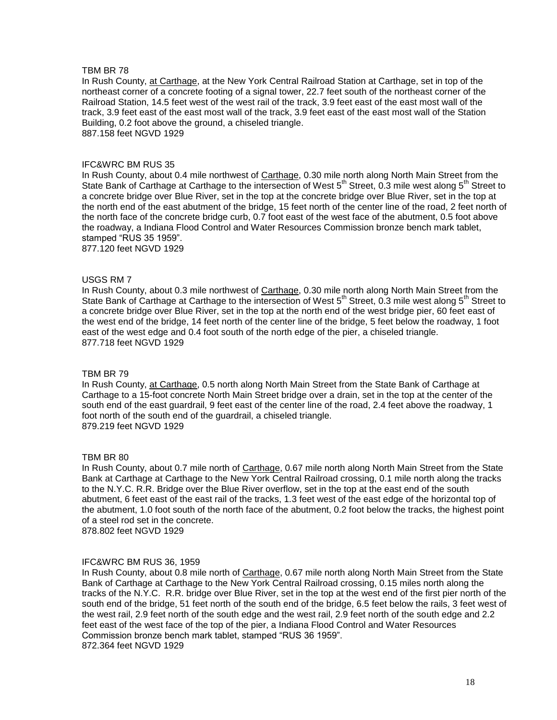In Rush County, at Carthage, at the New York Central Railroad Station at Carthage, set in top of the northeast corner of a concrete footing of a signal tower, 22.7 feet south of the northeast corner of the Railroad Station, 14.5 feet west of the west rail of the track, 3.9 feet east of the east most wall of the track, 3.9 feet east of the east most wall of the track, 3.9 feet east of the east most wall of the Station Building, 0.2 foot above the ground, a chiseled triangle. 887.158 feet NGVD 1929

## IFC&WRC BM RUS 35

In Rush County, about 0.4 mile northwest of Carthage, 0.30 mile north along North Main Street from the State Bank of Carthage at Carthage to the intersection of West 5<sup>th</sup> Street, 0.3 mile west along 5<sup>th</sup> Street to a concrete bridge over Blue River, set in the top at the concrete bridge over Blue River, set in the top at the north end of the east abutment of the bridge, 15 feet north of the center line of the road, 2 feet north of the north face of the concrete bridge curb, 0.7 foot east of the west face of the abutment, 0.5 foot above the roadway, a Indiana Flood Control and Water Resources Commission bronze bench mark tablet, stamped "RUS 35 1959".

877.120 feet NGVD 1929

## USGS RM 7

In Rush County, about 0.3 mile northwest of Carthage, 0.30 mile north along North Main Street from the State Bank of Carthage at Carthage to the intersection of West 5<sup>th</sup> Street, 0.3 mile west along 5<sup>th</sup> Street to a concrete bridge over Blue River, set in the top at the north end of the west bridge pier, 60 feet east of the west end of the bridge, 14 feet north of the center line of the bridge, 5 feet below the roadway, 1 foot east of the west edge and 0.4 foot south of the north edge of the pier, a chiseled triangle. 877.718 feet NGVD 1929

#### TBM BR 79

In Rush County, at Carthage, 0.5 north along North Main Street from the State Bank of Carthage at Carthage to a 15-foot concrete North Main Street bridge over a drain, set in the top at the center of the south end of the east guardrail, 9 feet east of the center line of the road, 2.4 feet above the roadway, 1 foot north of the south end of the guardrail, a chiseled triangle. 879.219 feet NGVD 1929

#### TBM BR 80

In Rush County, about 0.7 mile north of Carthage, 0.67 mile north along North Main Street from the State Bank at Carthage at Carthage to the New York Central Railroad crossing, 0.1 mile north along the tracks to the N.Y.C. R.R. Bridge over the Blue River overflow, set in the top at the east end of the south abutment, 6 feet east of the east rail of the tracks, 1.3 feet west of the east edge of the horizontal top of the abutment, 1.0 foot south of the north face of the abutment, 0.2 foot below the tracks, the highest point of a steel rod set in the concrete.

878.802 feet NGVD 1929

#### IFC&WRC BM RUS 36, 1959

In Rush County, about 0.8 mile north of Carthage, 0.67 mile north along North Main Street from the State Bank of Carthage at Carthage to the New York Central Railroad crossing, 0.15 miles north along the tracks of the N.Y.C. R.R. bridge over Blue River, set in the top at the west end of the first pier north of the south end of the bridge, 51 feet north of the south end of the bridge, 6.5 feet below the rails, 3 feet west of the west rail, 2.9 feet north of the south edge and the west rail, 2.9 feet north of the south edge and 2.2 feet east of the west face of the top of the pier, a Indiana Flood Control and Water Resources Commission bronze bench mark tablet, stamped "RUS 36 1959". 872.364 feet NGVD 1929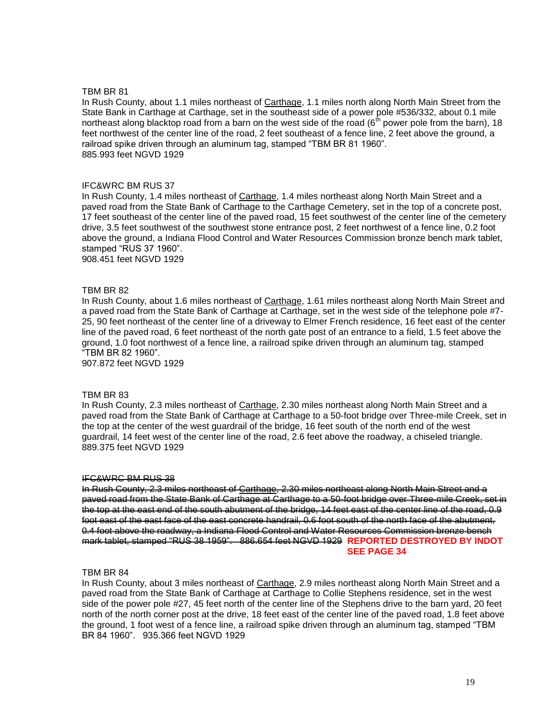In Rush County, about 1.1 miles northeast of Carthage, 1.1 miles north along North Main Street from the State Bank in Carthage at Carthage, set in the southeast side of a power pole #536/332, about 0.1 mile northeast along blacktop road from a barn on the west side of the road ( $6<sup>th</sup>$  power pole from the barn), 18 feet northwest of the center line of the road, 2 feet southeast of a fence line, 2 feet above the ground, a railroad spike driven through an aluminum tag, stamped "TBM BR 81 1960". 885.993 feet NGVD 1929

## IFC&WRC BM RUS 37

In Rush County, 1.4 miles northeast of Carthage, 1.4 miles northeast along North Main Street and a paved road from the State Bank of Carthage to the Carthage Cemetery, set in the top of a concrete post, 17 feet southeast of the center line of the paved road, 15 feet southwest of the center line of the cemetery drive, 3.5 feet southwest of the southwest stone entrance post, 2 feet northwest of a fence line, 0.2 foot above the ground, a Indiana Flood Control and Water Resources Commission bronze bench mark tablet, stamped "RUS 37 1960".

908.451 feet NGVD 1929

## TBM BR 82

In Rush County, about 1.6 miles northeast of Carthage, 1.61 miles northeast along North Main Street and a paved road from the State Bank of Carthage at Carthage, set in the west side of the telephone pole #7- 25, 90 feet northeast of the center line of a driveway to Elmer French residence, 16 feet east of the center line of the paved road, 6 feet northeast of the north gate post of an entrance to a field, 1.5 feet above the ground, 1.0 foot northwest of a fence line, a railroad spike driven through an aluminum tag, stamped "TBM BR 82 1960".

907.872 feet NGVD 1929

## TBM BR 83

In Rush County, 2.3 miles northeast of Carthage, 2.30 miles northeast along North Main Street and a paved road from the State Bank of Carthage at Carthage to a 50-foot bridge over Three-mile Creek, set in the top at the center of the west guardrail of the bridge, 16 feet south of the north end of the west guardrail, 14 feet west of the center line of the road, 2.6 feet above the roadway, a chiseled triangle. 889.375 feet NGVD 1929

#### IFC&WRC BM RUS 38

In Rush County, 2.3 miles northeast of Carthage, 2.30 miles northeast along North Main Street and a paved road from the State Bank of Carthage at Carthage to a 50-foot bridge over Three-mile Creek, set in the top at the east end of the south abutment of the bridge, 14 feet east of the center line of the road, 0.9 foot east of the east face of the east concrete handrail, 0.6 foot south of the north face of the abutment, 0.4 foot above the roadway, a Indiana Flood Control and Water Resources Commission bronze bench mark tablet, stamped "RUS 38 1959". 886.654 feet NGVD 1929 **REPORTED DESTROYED BY INDOT SEE PAGE 34**

## TBM BR 84

In Rush County, about 3 miles northeast of Carthage, 2.9 miles northeast along North Main Street and a paved road from the State Bank of Carthage at Carthage to Collie Stephens residence, set in the west side of the power pole #27, 45 feet north of the center line of the Stephens drive to the barn yard, 20 feet north of the north corner post at the drive, 18 feet east of the center line of the paved road, 1.8 feet above the ground, 1 foot west of a fence line, a railroad spike driven through an aluminum tag, stamped "TBM BR 84 1960". 935.366 feet NGVD 1929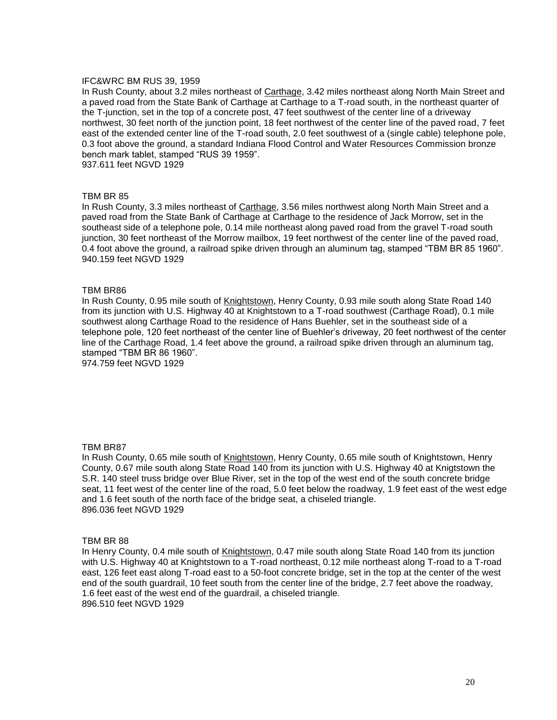## IFC&WRC BM RUS 39, 1959

In Rush County, about 3.2 miles northeast of Carthage, 3.42 miles northeast along North Main Street and a paved road from the State Bank of Carthage at Carthage to a T-road south, in the northeast quarter of the T-junction, set in the top of a concrete post, 47 feet southwest of the center line of a driveway northwest, 30 feet north of the junction point, 18 feet northwest of the center line of the paved road, 7 feet east of the extended center line of the T-road south, 2.0 feet southwest of a (single cable) telephone pole, 0.3 foot above the ground, a standard Indiana Flood Control and Water Resources Commission bronze bench mark tablet, stamped "RUS 39 1959". 937.611 feet NGVD 1929

## TBM BR 85

In Rush County, 3.3 miles northeast of Carthage, 3.56 miles northwest along North Main Street and a paved road from the State Bank of Carthage at Carthage to the residence of Jack Morrow, set in the southeast side of a telephone pole, 0.14 mile northeast along paved road from the gravel T-road south junction, 30 feet northeast of the Morrow mailbox, 19 feet northwest of the center line of the paved road, 0.4 foot above the ground, a railroad spike driven through an aluminum tag, stamped "TBM BR 85 1960". 940.159 feet NGVD 1929

## TBM BR86

In Rush County, 0.95 mile south of Knightstown, Henry County, 0.93 mile south along State Road 140 from its junction with U.S. Highway 40 at Knightstown to a T-road southwest (Carthage Road), 0.1 mile southwest along Carthage Road to the residence of Hans Buehler, set in the southeast side of a telephone pole, 120 feet northeast of the center line of Buehler's driveway, 20 feet northwest of the center line of the Carthage Road, 1.4 feet above the ground, a railroad spike driven through an aluminum tag, stamped "TBM BR 86 1960".

974.759 feet NGVD 1929

#### TBM BR87

In Rush County, 0.65 mile south of Knightstown, Henry County, 0.65 mile south of Knightstown, Henry County, 0.67 mile south along State Road 140 from its junction with U.S. Highway 40 at Knigtstown the S.R. 140 steel truss bridge over Blue River, set in the top of the west end of the south concrete bridge seat, 11 feet west of the center line of the road, 5.0 feet below the roadway, 1.9 feet east of the west edge and 1.6 feet south of the north face of the bridge seat, a chiseled triangle. 896.036 feet NGVD 1929

#### TBM BR 88

In Henry County, 0.4 mile south of Knightstown, 0.47 mile south along State Road 140 from its junction with U.S. Highway 40 at Knightstown to a T-road northeast, 0.12 mile northeast along T-road to a T-road east, 126 feet east along T-road east to a 50-foot concrete bridge, set in the top at the center of the west end of the south guardrail, 10 feet south from the center line of the bridge, 2.7 feet above the roadway, 1.6 feet east of the west end of the guardrail, a chiseled triangle. 896.510 feet NGVD 1929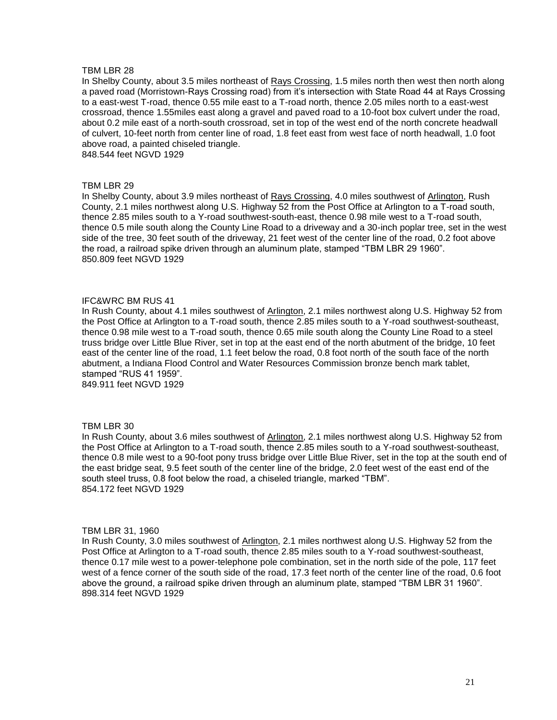In Shelby County, about 3.5 miles northeast of Rays Crossing, 1.5 miles north then west then north along a paved road (Morristown-Rays Crossing road) from it's intersection with State Road 44 at Rays Crossing to a east-west T-road, thence 0.55 mile east to a T-road north, thence 2.05 miles north to a east-west crossroad, thence 1.55miles east along a gravel and paved road to a 10-foot box culvert under the road, about 0.2 mile east of a north-south crossroad, set in top of the west end of the north concrete headwall of culvert, 10-feet north from center line of road, 1.8 feet east from west face of north headwall, 1.0 foot above road, a painted chiseled triangle.

848.544 feet NGVD 1929

## TBM LBR 29

In Shelby County, about 3.9 miles northeast of Rays Crossing, 4.0 miles southwest of Arlington, Rush County, 2.1 miles northwest along U.S. Highway 52 from the Post Office at Arlington to a T-road south, thence 2.85 miles south to a Y-road southwest-south-east, thence 0.98 mile west to a T-road south, thence 0.5 mile south along the County Line Road to a driveway and a 30-inch poplar tree, set in the west side of the tree, 30 feet south of the driveway, 21 feet west of the center line of the road, 0.2 foot above the road, a railroad spike driven through an aluminum plate, stamped "TBM LBR 29 1960". 850.809 feet NGVD 1929

## IFC&WRC BM RUS 41

In Rush County, about 4.1 miles southwest of Arlington, 2.1 miles northwest along U.S. Highway 52 from the Post Office at Arlington to a T-road south, thence 2.85 miles south to a Y-road southwest-southeast, thence 0.98 mile west to a T-road south, thence 0.65 mile south along the County Line Road to a steel truss bridge over Little Blue River, set in top at the east end of the north abutment of the bridge, 10 feet east of the center line of the road, 1.1 feet below the road, 0.8 foot north of the south face of the north abutment, a Indiana Flood Control and Water Resources Commission bronze bench mark tablet, stamped "RUS 41 1959".

849.911 feet NGVD 1929

## TBM LBR 30

In Rush County, about 3.6 miles southwest of Arlington, 2.1 miles northwest along U.S. Highway 52 from the Post Office at Arlington to a T-road south, thence 2.85 miles south to a Y-road southwest-southeast, thence 0.8 mile west to a 90-foot pony truss bridge over Little Blue River, set in the top at the south end of the east bridge seat, 9.5 feet south of the center line of the bridge, 2.0 feet west of the east end of the south steel truss, 0.8 foot below the road, a chiseled triangle, marked "TBM". 854.172 feet NGVD 1929

#### TBM LBR 31, 1960

In Rush County, 3.0 miles southwest of Arlington, 2.1 miles northwest along U.S. Highway 52 from the Post Office at Arlington to a T-road south, thence 2.85 miles south to a Y-road southwest-southeast, thence 0.17 mile west to a power-telephone pole combination, set in the north side of the pole, 117 feet west of a fence corner of the south side of the road, 17.3 feet north of the center line of the road, 0.6 foot above the ground, a railroad spike driven through an aluminum plate, stamped "TBM LBR 31 1960". 898.314 feet NGVD 1929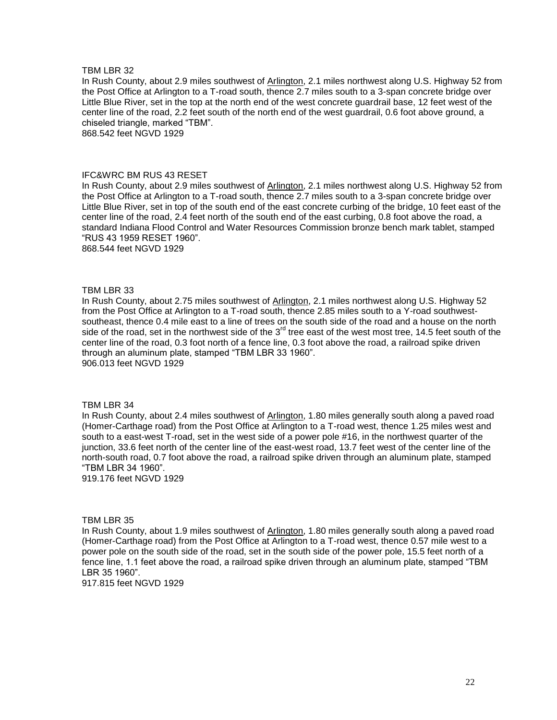In Rush County, about 2.9 miles southwest of Arlington, 2.1 miles northwest along U.S. Highway 52 from the Post Office at Arlington to a T-road south, thence 2.7 miles south to a 3-span concrete bridge over Little Blue River, set in the top at the north end of the west concrete guardrail base, 12 feet west of the center line of the road, 2.2 feet south of the north end of the west guardrail, 0.6 foot above ground, a chiseled triangle, marked "TBM".

868.542 feet NGVD 1929

#### IFC&WRC BM RUS 43 RESET

In Rush County, about 2.9 miles southwest of Arlington, 2.1 miles northwest along U.S. Highway 52 from the Post Office at Arlington to a T-road south, thence 2.7 miles south to a 3-span concrete bridge over Little Blue River, set in top of the south end of the east concrete curbing of the bridge, 10 feet east of the center line of the road, 2.4 feet north of the south end of the east curbing, 0.8 foot above the road, a standard Indiana Flood Control and Water Resources Commission bronze bench mark tablet, stamped "RUS 43 1959 RESET 1960". 868.544 feet NGVD 1929

## TBM LBR 33

In Rush County, about 2.75 miles southwest of Arlington, 2.1 miles northwest along U.S. Highway 52 from the Post Office at Arlington to a T-road south, thence 2.85 miles south to a Y-road southwestsoutheast, thence 0.4 mile east to a line of trees on the south side of the road and a house on the north side of the road, set in the northwest side of the  $3<sup>rd</sup>$  tree east of the west most tree, 14.5 feet south of the center line of the road, 0.3 foot north of a fence line, 0.3 foot above the road, a railroad spike driven through an aluminum plate, stamped "TBM LBR 33 1960". 906.013 feet NGVD 1929

#### TBM LBR 34

In Rush County, about 2.4 miles southwest of Arlington, 1.80 miles generally south along a paved road (Homer-Carthage road) from the Post Office at Arlington to a T-road west, thence 1.25 miles west and south to a east-west T-road, set in the west side of a power pole #16, in the northwest quarter of the junction, 33.6 feet north of the center line of the east-west road, 13.7 feet west of the center line of the north-south road, 0.7 foot above the road, a railroad spike driven through an aluminum plate, stamped "TBM LBR 34 1960".

919.176 feet NGVD 1929

## TBM LBR 35

In Rush County, about 1.9 miles southwest of Arlington, 1.80 miles generally south along a paved road (Homer-Carthage road) from the Post Office at Arlington to a T-road west, thence 0.57 mile west to a power pole on the south side of the road, set in the south side of the power pole, 15.5 feet north of a fence line, 1.1 feet above the road, a railroad spike driven through an aluminum plate, stamped "TBM LBR 35 1960".

917.815 feet NGVD 1929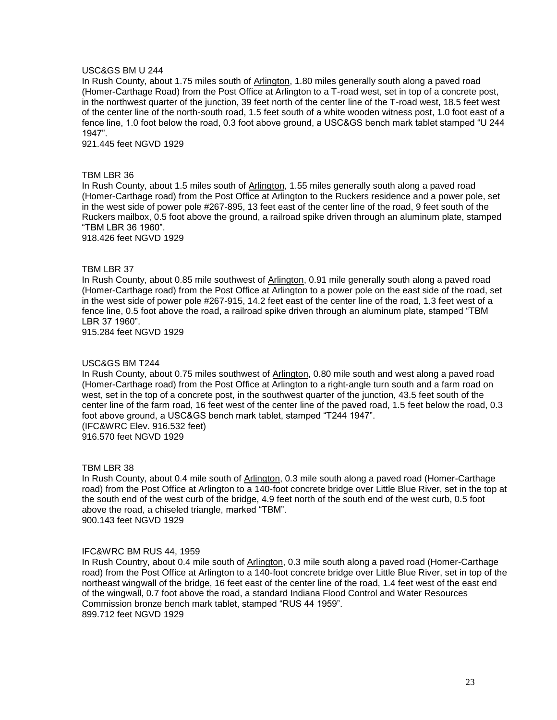## USC&GS BM U 244

In Rush County, about 1.75 miles south of Arlington, 1.80 miles generally south along a paved road (Homer-Carthage Road) from the Post Office at Arlington to a T-road west, set in top of a concrete post, in the northwest quarter of the junction, 39 feet north of the center line of the T-road west, 18.5 feet west of the center line of the north-south road, 1.5 feet south of a white wooden witness post, 1.0 foot east of a fence line, 1.0 foot below the road, 0.3 foot above ground, a USC&GS bench mark tablet stamped "U 244 1947".

921.445 feet NGVD 1929

## TBM LBR 36

In Rush County, about 1.5 miles south of Arlington, 1.55 miles generally south along a paved road (Homer-Carthage road) from the Post Office at Arlington to the Ruckers residence and a power pole, set in the west side of power pole #267-895, 13 feet east of the center line of the road, 9 feet south of the Ruckers mailbox, 0.5 foot above the ground, a railroad spike driven through an aluminum plate, stamped "TBM LBR 36 1960".

918.426 feet NGVD 1929

## TBM LBR 37

In Rush County, about 0.85 mile southwest of Arlington, 0.91 mile generally south along a paved road (Homer-Carthage road) from the Post Office at Arlington to a power pole on the east side of the road, set in the west side of power pole #267-915, 14.2 feet east of the center line of the road, 1.3 feet west of a fence line, 0.5 foot above the road, a railroad spike driven through an aluminum plate, stamped "TBM LBR 37 1960".

915.284 feet NGVD 1929

#### USC&GS BM T244

In Rush County, about 0.75 miles southwest of Arlington, 0.80 mile south and west along a paved road (Homer-Carthage road) from the Post Office at Arlington to a right-angle turn south and a farm road on west, set in the top of a concrete post, in the southwest quarter of the junction, 43.5 feet south of the center line of the farm road, 16 feet west of the center line of the paved road, 1.5 feet below the road, 0.3 foot above ground, a USC&GS bench mark tablet, stamped "T244 1947". (IFC&WRC Elev. 916.532 feet)

916.570 feet NGVD 1929

## TBM LBR 38

In Rush County, about 0.4 mile south of Arlington, 0.3 mile south along a paved road (Homer-Carthage road) from the Post Office at Arlington to a 140-foot concrete bridge over Little Blue River, set in the top at the south end of the west curb of the bridge, 4.9 feet north of the south end of the west curb, 0.5 foot above the road, a chiseled triangle, marked "TBM". 900.143 feet NGVD 1929

### IFC&WRC BM RUS 44, 1959

In Rush Country, about 0.4 mile south of Arlington, 0.3 mile south along a paved road (Homer-Carthage road) from the Post Office at Arlington to a 140-foot concrete bridge over Little Blue River, set in top of the northeast wingwall of the bridge, 16 feet east of the center line of the road, 1.4 feet west of the east end of the wingwall, 0.7 foot above the road, a standard Indiana Flood Control and Water Resources Commission bronze bench mark tablet, stamped "RUS 44 1959". 899.712 feet NGVD 1929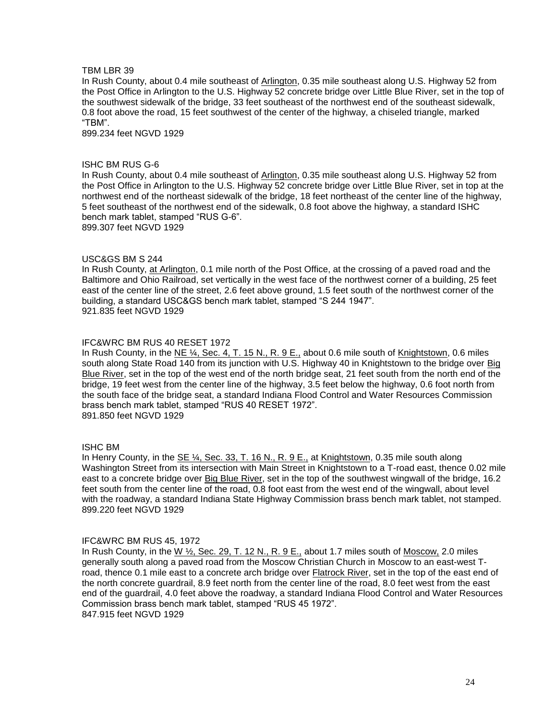In Rush County, about 0.4 mile southeast of Arlington, 0.35 mile southeast along U.S. Highway 52 from the Post Office in Arlington to the U.S. Highway 52 concrete bridge over Little Blue River, set in the top of the southwest sidewalk of the bridge, 33 feet southeast of the northwest end of the southeast sidewalk, 0.8 foot above the road, 15 feet southwest of the center of the highway, a chiseled triangle, marked "TBM".

899.234 feet NGVD 1929

## ISHC BM RUS G-6

In Rush County, about 0.4 mile southeast of Arlington, 0.35 mile southeast along U.S. Highway 52 from the Post Office in Arlington to the U.S. Highway 52 concrete bridge over Little Blue River, set in top at the northwest end of the northeast sidewalk of the bridge, 18 feet northeast of the center line of the highway, 5 feet southeast of the northwest end of the sidewalk, 0.8 foot above the highway, a standard ISHC bench mark tablet, stamped "RUS G-6". 899.307 feet NGVD 1929

## USC&GS BM S 244

In Rush County, at Arlington, 0.1 mile north of the Post Office, at the crossing of a paved road and the Baltimore and Ohio Railroad, set vertically in the west face of the northwest corner of a building, 25 feet east of the center line of the street, 2.6 feet above ground, 1.5 feet south of the northwest corner of the building, a standard USC&GS bench mark tablet, stamped "S 244 1947". 921.835 feet NGVD 1929

## IFC&WRC BM RUS 40 RESET 1972

In Rush County, in the  $NE \frac{1}{4}$ , Sec. 4, T. 15 N., R. 9 E., about 0.6 mile south of Knightstown, 0.6 miles south along State Road 140 from its junction with U.S. Highway 40 in Knightstown to the bridge over Big Blue River, set in the top of the west end of the north bridge seat, 21 feet south from the north end of the bridge, 19 feet west from the center line of the highway, 3.5 feet below the highway, 0.6 foot north from the south face of the bridge seat, a standard Indiana Flood Control and Water Resources Commission brass bench mark tablet, stamped "RUS 40 RESET 1972". 891.850 feet NGVD 1929

#### ISHC BM

In Henry County, in the SE ¼, Sec. 33, T. 16 N., R. 9 E., at Knightstown, 0.35 mile south along Washington Street from its intersection with Main Street in Knightstown to a T-road east, thence 0.02 mile east to a concrete bridge over Big Blue River, set in the top of the southwest wingwall of the bridge, 16.2 feet south from the center line of the road, 0.8 foot east from the west end of the wingwall, about level with the roadway, a standard Indiana State Highway Commission brass bench mark tablet, not stamped. 899.220 feet NGVD 1929

#### IFC&WRC BM RUS 45, 1972

In Rush County, in the  $W \frac{1}{2}$ , Sec. 29, T. 12 N., R. 9 E., about 1.7 miles south of Moscow, 2.0 miles generally south along a paved road from the Moscow Christian Church in Moscow to an east-west Troad, thence 0.1 mile east to a concrete arch bridge over Flatrock River, set in the top of the east end of the north concrete guardrail, 8.9 feet north from the center line of the road, 8.0 feet west from the east end of the guardrail, 4.0 feet above the roadway, a standard Indiana Flood Control and Water Resources Commission brass bench mark tablet, stamped "RUS 45 1972". 847.915 feet NGVD 1929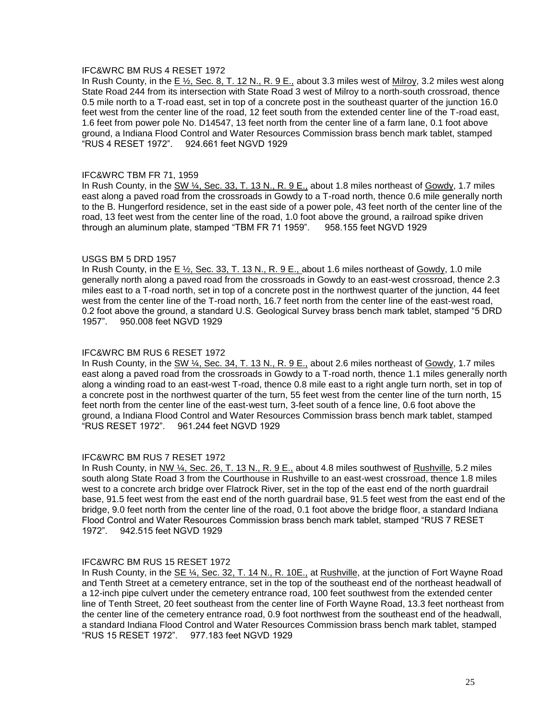## IFC&WRC BM RUS 4 RESET 1972

In Rush County, in the E ½, Sec. 8, T. 12 N., R. 9 E., about 3.3 miles west of Milroy, 3.2 miles west along State Road 244 from its intersection with State Road 3 west of Milroy to a north-south crossroad, thence 0.5 mile north to a T-road east, set in top of a concrete post in the southeast quarter of the junction 16.0 feet west from the center line of the road, 12 feet south from the extended center line of the T-road east, 1.6 feet from power pole No. D14547, 13 feet north from the center line of a farm lane, 0.1 foot above ground, a Indiana Flood Control and Water Resources Commission brass bench mark tablet, stamped "RUS 4 RESET 1972". 924.661 feet NGVD 1929

## IFC&WRC TBM FR 71, 1959

In Rush County, in the SW ¼, Sec. 33, T. 13 N., R. 9 E., about 1.8 miles northeast of Gowdy, 1.7 miles east along a paved road from the crossroads in Gowdy to a T-road north, thence 0.6 mile generally north to the B. Hungerford residence, set in the east side of a power pole, 43 feet north of the center line of the road, 13 feet west from the center line of the road, 1.0 foot above the ground, a railroad spike driven through an aluminum plate, stamped "TBM FR 71 1959". 958.155 feet NGVD 1929

## USGS BM 5 DRD 1957

In Rush County, in the  $E \frac{1}{2}$ , Sec. 33, T. 13 N., R. 9 E., about 1.6 miles northeast of Gowdy, 1.0 mile generally north along a paved road from the crossroads in Gowdy to an east-west crossroad, thence 2.3 miles east to a T-road north, set in top of a concrete post in the northwest quarter of the junction, 44 feet west from the center line of the T-road north, 16.7 feet north from the center line of the east-west road, 0.2 foot above the ground, a standard U.S. Geological Survey brass bench mark tablet, stamped "5 DRD 1957". 950.008 feet NGVD 1929

## IFC&WRC BM RUS 6 RESET 1972

In Rush County, in the SW 1/4, Sec. 34, T. 13 N., R. 9 E., about 2.6 miles northeast of Gowdy, 1.7 miles east along a paved road from the crossroads in Gowdy to a T-road north, thence 1.1 miles generally north along a winding road to an east-west T-road, thence 0.8 mile east to a right angle turn north, set in top of a concrete post in the northwest quarter of the turn, 55 feet west from the center line of the turn north, 15 feet north from the center line of the east-west turn, 3-feet south of a fence line, 0.6 foot above the ground, a Indiana Flood Control and Water Resources Commission brass bench mark tablet, stamped "RUS RESET 1972". 961.244 feet NGVD 1929

## IFC&WRC BM RUS 7 RESET 1972

In Rush County, in NW ¼, Sec. 26, T. 13 N., R. 9 E., about 4.8 miles southwest of Rushville, 5.2 miles south along State Road 3 from the Courthouse in Rushville to an east-west crossroad, thence 1.8 miles west to a concrete arch bridge over Flatrock River, set in the top of the east end of the north guardrail base, 91.5 feet west from the east end of the north guardrail base, 91.5 feet west from the east end of the bridge, 9.0 feet north from the center line of the road, 0.1 foot above the bridge floor, a standard Indiana Flood Control and Water Resources Commission brass bench mark tablet, stamped "RUS 7 RESET 1972". 942.515 feet NGVD 1929

## IFC&WRC BM RUS 15 RESET 1972

In Rush County, in the SE ¼, Sec. 32, T. 14 N., R. 10E., at Rushville, at the junction of Fort Wayne Road and Tenth Street at a cemetery entrance, set in the top of the southeast end of the northeast headwall of a 12-inch pipe culvert under the cemetery entrance road, 100 feet southwest from the extended center line of Tenth Street, 20 feet southeast from the center line of Forth Wayne Road, 13.3 feet northeast from the center line of the cemetery entrance road, 0.9 foot northwest from the southeast end of the headwall, a standard Indiana Flood Control and Water Resources Commission brass bench mark tablet, stamped "RUS 15 RESET 1972". 977.183 feet NGVD 1929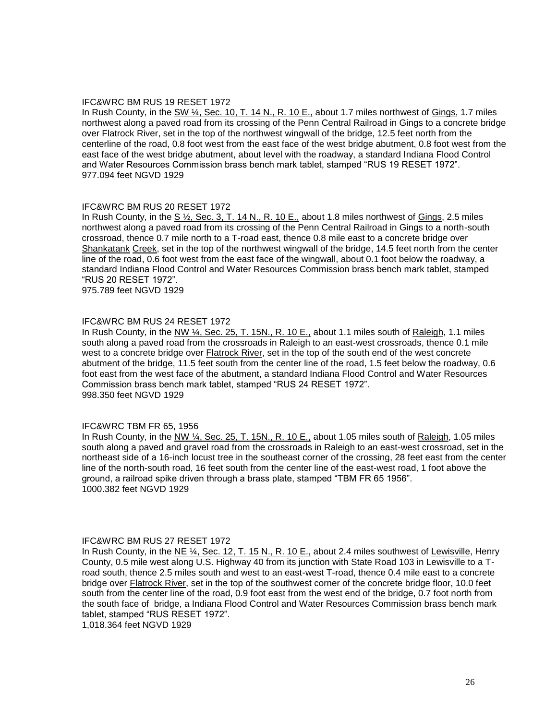## IFC&WRC BM RUS 19 RESET 1972

In Rush County, in the SW  $\frac{1}{4}$ , Sec. 10, T. 14 N., R. 10 E., about 1.7 miles northwest of Gings, 1.7 miles northwest along a paved road from its crossing of the Penn Central Railroad in Gings to a concrete bridge over Flatrock River, set in the top of the northwest wingwall of the bridge, 12.5 feet north from the centerline of the road, 0.8 foot west from the east face of the west bridge abutment, 0.8 foot west from the east face of the west bridge abutment, about level with the roadway, a standard Indiana Flood Control and Water Resources Commission brass bench mark tablet, stamped "RUS 19 RESET 1972". 977.094 feet NGVD 1929

## IFC&WRC BM RUS 20 RESET 1972

In Rush County, in the  $S\frac{1}{2}$ , Sec. 3, T. 14 N., R. 10 E., about 1.8 miles northwest of Gings, 2.5 miles northwest along a paved road from its crossing of the Penn Central Railroad in Gings to a north-south crossroad, thence 0.7 mile north to a T-road east, thence 0.8 mile east to a concrete bridge over Shankatank Creek, set in the top of the northwest wingwall of the bridge, 14.5 feet north from the center line of the road, 0.6 foot west from the east face of the wingwall, about 0.1 foot below the roadway, a standard Indiana Flood Control and Water Resources Commission brass bench mark tablet, stamped "RUS 20 RESET 1972".

975.789 feet NGVD 1929

## IFC&WRC BM RUS 24 RESET 1972

In Rush County, in the  $N/M$   $\frac{1}{4}$ , Sec. 25, T. 15N., R. 10 E., about 1.1 miles south of Raleigh, 1.1 miles south along a paved road from the crossroads in Raleigh to an east-west crossroads, thence 0.1 mile west to a concrete bridge over Flatrock River, set in the top of the south end of the west concrete abutment of the bridge, 11.5 feet south from the center line of the road, 1.5 feet below the roadway, 0.6 foot east from the west face of the abutment, a standard Indiana Flood Control and Water Resources Commission brass bench mark tablet, stamped "RUS 24 RESET 1972". 998.350 feet NGVD 1929

#### IFC&WRC TBM FR 65, 1956

In Rush County, in the NW ¼, Sec. 25, T. 15N., R. 10 E., about 1.05 miles south of Raleigh, 1.05 miles south along a paved and gravel road from the crossroads in Raleigh to an east-west crossroad, set in the northeast side of a 16-inch locust tree in the southeast corner of the crossing, 28 feet east from the center line of the north-south road, 16 feet south from the center line of the east-west road, 1 foot above the ground, a railroad spike driven through a brass plate, stamped "TBM FR 65 1956". 1000.382 feet NGVD 1929

#### IFC&WRC BM RUS 27 RESET 1972

In Rush County, in the NE  $\frac{1}{4}$ , Sec. 12, T. 15 N., R. 10 E., about 2.4 miles southwest of Lewisville, Henry County, 0.5 mile west along U.S. Highway 40 from its junction with State Road 103 in Lewisville to a Troad south, thence 2.5 miles south and west to an east-west T-road, thence 0.4 mile east to a concrete bridge over Flatrock River, set in the top of the southwest corner of the concrete bridge floor, 10.0 feet south from the center line of the road, 0.9 foot east from the west end of the bridge, 0.7 foot north from the south face of bridge, a Indiana Flood Control and Water Resources Commission brass bench mark tablet, stamped "RUS RESET 1972".

1,018.364 feet NGVD 1929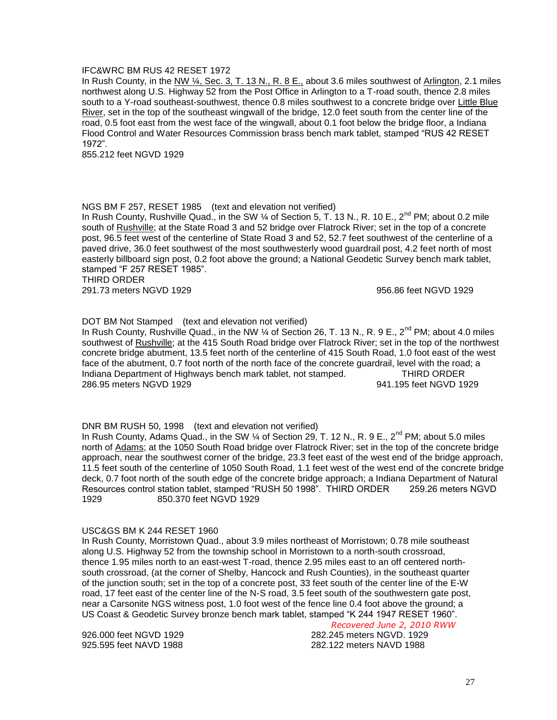## IFC&WRC BM RUS 42 RESET 1972

In Rush County, in the NW ¼, Sec. 3, T. 13 N., R. 8 E., about 3.6 miles southwest of Arlington, 2.1 miles northwest along U.S. Highway 52 from the Post Office in Arlington to a T-road south, thence 2.8 miles south to a Y-road southeast-southwest, thence 0.8 miles southwest to a concrete bridge over Little Blue River, set in the top of the southeast wingwall of the bridge, 12.0 feet south from the center line of the road, 0.5 foot east from the west face of the wingwall, about 0.1 foot below the bridge floor, a Indiana Flood Control and Water Resources Commission brass bench mark tablet, stamped "RUS 42 RESET 1972".

855.212 feet NGVD 1929

## NGS BM F 257, RESET 1985 (text and elevation not verified)

In Rush County, Rushville Quad., in the SW  $\frac{1}{4}$  of Section 5, T. 13 N., R. 10 E., 2<sup>nd</sup> PM; about 0.2 mile south of Rushville; at the State Road 3 and 52 bridge over Flatrock River; set in the top of a concrete post, 96.5 feet west of the centerline of State Road 3 and 52, 52.7 feet southwest of the centerline of a paved drive, 36.0 feet southwest of the most southwesterly wood guardrail post, 4.2 feet north of most easterly billboard sign post, 0.2 foot above the ground; a National Geodetic Survey bench mark tablet, stamped "F 257 RESET 1985".

THIRD ORDER

291.73 meters NGVD 1929 956.86 feet NGVD 1929

DOT BM Not Stamped (text and elevation not verified)

In Rush County, Rushville Quad., in the NW  $\frac{1}{4}$  of Section 26, T. 13 N., R. 9 E., 2<sup>nd</sup> PM; about 4.0 miles southwest of Rushville; at the 415 South Road bridge over Flatrock River; set in the top of the northwest concrete bridge abutment, 13.5 feet north of the centerline of 415 South Road, 1.0 foot east of the west face of the abutment, 0.7 foot north of the north face of the concrete guardrail, level with the road; a Indiana Department of Highways bench mark tablet, not stamped. THIRD ORDER 286.95 meters NGVD 1929 941.195 feet NGVD 1929

DNR BM RUSH 50, 1998 (text and elevation not verified)

In Rush County, Adams Quad., in the SW  $\frac{1}{4}$  of Section 29, T. 12 N., R. 9 E., 2<sup>nd</sup> PM; about 5.0 miles north of Adams; at the 1050 South Road bridge over Flatrock River; set in the top of the concrete bridge approach, near the southwest corner of the bridge, 23.3 feet east of the west end of the bridge approach, 11.5 feet south of the centerline of 1050 South Road, 1.1 feet west of the west end of the concrete bridge deck, 0.7 foot north of the south edge of the concrete bridge approach; a Indiana Department of Natural Resources control station tablet, stamped "RUSH 50 1998". THIRD ORDER 259.26 meters NGVD 1929 850.370 feet NGVD 1929

## USC&GS BM K 244 RESET 1960

In Rush County, Morristown Quad., about 3.9 miles northeast of Morristown; 0.78 mile southeast along U.S. Highway 52 from the township school in Morristown to a north-south crossroad, thence 1.95 miles north to an east-west T-road, thence 2.95 miles east to an off centered northsouth crossroad, (at the corner of Shelby, Hancock and Rush Counties), in the southeast quarter of the junction south; set in the top of a concrete post, 33 feet south of the center line of the E-W road, 17 feet east of the center line of the N-S road, 3.5 feet south of the southwestern gate post, near a Carsonite NGS witness post, 1.0 foot west of the fence line 0.4 foot above the ground; a US Coast & Geodetic Survey bronze bench mark tablet, stamped "K 244 1947 RESET 1960".

#### *Recovered June 2, 2010 RWW*

926.000 feet NGVD 1929 282.245 meters NGVD. 1929 925.595 feet NAVD 1988 282.122 meters NAVD 1988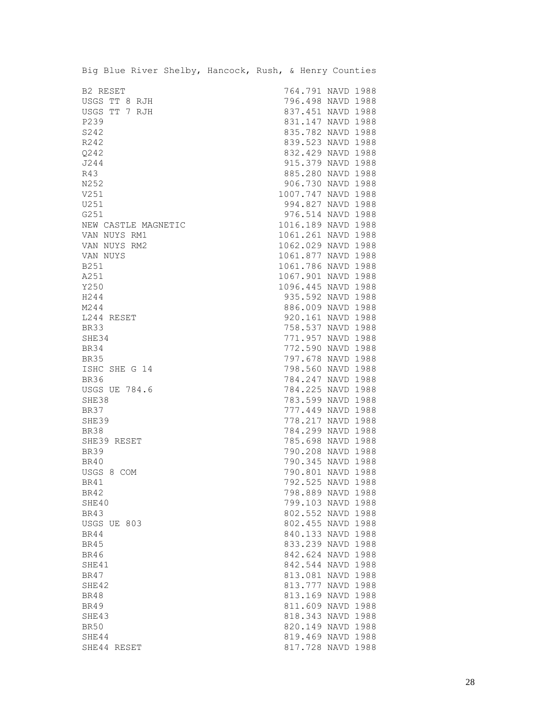| B2 RESET<br>764.791 NAVD 1988<br>796.498 NAVD 1988<br>USGS TT 8 RJH<br>USGS TT 7 RJH<br>837.451 NAVD 1988<br>P239<br>831.147 NAVD 1988<br>835.782 NAVD 1988<br>S242<br>839.523 NAVD 1988<br>R242<br>832.429 NAVD 1988<br>Q242<br>915.379 NAVD 1988<br>J244<br>R43<br>885.280 NAVD 1988<br>N252<br>906.730 NAVD 1988<br>V251<br>1007.747 NAVD 1988<br>U251<br>994.827 NAVD 1988<br>976.514 NAVD 1988<br>G251<br>1016.189 NAVD 1988<br>NEW CASTLE MAGNETIC<br>1061.261 NAVD 1988<br>VAN NUYS RM1<br>1062.029 NAVD 1988<br>VAN NUYS RM2<br>1061.877 NAVD 1988<br>VAN NUYS<br>1061.786 NAVD 1988<br>B251<br>1067.901 NAVD 1988<br>A251<br>Y250<br>1096.445 NAVD 1988<br>H244<br>935.592 NAVD 1988<br>M244<br>886.009 NAVD 1988<br>920.161 NAVD 1988<br>L244 RESET<br>758.537 NAVD 1988<br>BR33<br>771.957 NAVD 1988<br>SHE34<br>772.590 NAVD 1988<br><b>BR34</b><br>797.678 NAVD 1988<br><b>BR35</b><br>ISHC SHE G 14<br>798.560 NAVD 1988<br><b>BR36</b><br>784.247 NAVD 1988<br><b>USGS UE 784.6</b><br>784.225 NAVD 1988<br>SHE38<br>783.599 NAVD 1988<br><b>BR37</b><br>777.449 NAVD 1988<br>778.217 NAVD 1988<br>SHE39<br>784.299 NAVD 1988<br>BR38<br>785.698 NAVD 1988<br>SHE39 RESET<br>790.208 NAVD 1988<br><b>BR39</b><br>790.345 NAVD 1988<br>BR40<br>USGS 8 COM<br>790.801 NAVD 1988<br>792.525 NAVD 1988<br>BR41<br>BR42<br>798.889 NAVD 1988<br>SHE40<br>799.103 NAVD 1988<br>802.552 NAVD 1988<br>BR43<br>802.455 NAVD 1988<br>USGS UE 803<br>840.133 NAVD 1988<br>BR44<br>833.239 NAVD 1988<br>BR45<br><b>BR46</b><br>842.624 NAVD 1988<br>842.544 NAVD 1988<br>SHE41<br>813.081 NAVD 1988<br>BR47<br>SHE42<br>813.777 NAVD 1988<br>813.169 NAVD 1988<br><b>BR48</b><br>811.609 NAVD 1988<br><b>BR49</b><br>818.343 NAVD 1988<br>SHE43<br><b>BR50</b><br>820.149 NAVD 1988<br>SHE44<br>819.469 NAVD 1988<br>817.728 NAVD 1988<br>SHE44 RESET | Big Blue River Shelby, Hancock, Rush, & Henry Counties |  |  |
|----------------------------------------------------------------------------------------------------------------------------------------------------------------------------------------------------------------------------------------------------------------------------------------------------------------------------------------------------------------------------------------------------------------------------------------------------------------------------------------------------------------------------------------------------------------------------------------------------------------------------------------------------------------------------------------------------------------------------------------------------------------------------------------------------------------------------------------------------------------------------------------------------------------------------------------------------------------------------------------------------------------------------------------------------------------------------------------------------------------------------------------------------------------------------------------------------------------------------------------------------------------------------------------------------------------------------------------------------------------------------------------------------------------------------------------------------------------------------------------------------------------------------------------------------------------------------------------------------------------------------------------------------------------------------------------------------------------------------------------------------------------------------------------------------------------------------------------------------------|--------------------------------------------------------|--|--|
|                                                                                                                                                                                                                                                                                                                                                                                                                                                                                                                                                                                                                                                                                                                                                                                                                                                                                                                                                                                                                                                                                                                                                                                                                                                                                                                                                                                                                                                                                                                                                                                                                                                                                                                                                                                                                                                          |                                                        |  |  |
|                                                                                                                                                                                                                                                                                                                                                                                                                                                                                                                                                                                                                                                                                                                                                                                                                                                                                                                                                                                                                                                                                                                                                                                                                                                                                                                                                                                                                                                                                                                                                                                                                                                                                                                                                                                                                                                          |                                                        |  |  |
|                                                                                                                                                                                                                                                                                                                                                                                                                                                                                                                                                                                                                                                                                                                                                                                                                                                                                                                                                                                                                                                                                                                                                                                                                                                                                                                                                                                                                                                                                                                                                                                                                                                                                                                                                                                                                                                          |                                                        |  |  |
|                                                                                                                                                                                                                                                                                                                                                                                                                                                                                                                                                                                                                                                                                                                                                                                                                                                                                                                                                                                                                                                                                                                                                                                                                                                                                                                                                                                                                                                                                                                                                                                                                                                                                                                                                                                                                                                          |                                                        |  |  |
|                                                                                                                                                                                                                                                                                                                                                                                                                                                                                                                                                                                                                                                                                                                                                                                                                                                                                                                                                                                                                                                                                                                                                                                                                                                                                                                                                                                                                                                                                                                                                                                                                                                                                                                                                                                                                                                          |                                                        |  |  |
|                                                                                                                                                                                                                                                                                                                                                                                                                                                                                                                                                                                                                                                                                                                                                                                                                                                                                                                                                                                                                                                                                                                                                                                                                                                                                                                                                                                                                                                                                                                                                                                                                                                                                                                                                                                                                                                          |                                                        |  |  |
|                                                                                                                                                                                                                                                                                                                                                                                                                                                                                                                                                                                                                                                                                                                                                                                                                                                                                                                                                                                                                                                                                                                                                                                                                                                                                                                                                                                                                                                                                                                                                                                                                                                                                                                                                                                                                                                          |                                                        |  |  |
|                                                                                                                                                                                                                                                                                                                                                                                                                                                                                                                                                                                                                                                                                                                                                                                                                                                                                                                                                                                                                                                                                                                                                                                                                                                                                                                                                                                                                                                                                                                                                                                                                                                                                                                                                                                                                                                          |                                                        |  |  |
|                                                                                                                                                                                                                                                                                                                                                                                                                                                                                                                                                                                                                                                                                                                                                                                                                                                                                                                                                                                                                                                                                                                                                                                                                                                                                                                                                                                                                                                                                                                                                                                                                                                                                                                                                                                                                                                          |                                                        |  |  |
|                                                                                                                                                                                                                                                                                                                                                                                                                                                                                                                                                                                                                                                                                                                                                                                                                                                                                                                                                                                                                                                                                                                                                                                                                                                                                                                                                                                                                                                                                                                                                                                                                                                                                                                                                                                                                                                          |                                                        |  |  |
|                                                                                                                                                                                                                                                                                                                                                                                                                                                                                                                                                                                                                                                                                                                                                                                                                                                                                                                                                                                                                                                                                                                                                                                                                                                                                                                                                                                                                                                                                                                                                                                                                                                                                                                                                                                                                                                          |                                                        |  |  |
|                                                                                                                                                                                                                                                                                                                                                                                                                                                                                                                                                                                                                                                                                                                                                                                                                                                                                                                                                                                                                                                                                                                                                                                                                                                                                                                                                                                                                                                                                                                                                                                                                                                                                                                                                                                                                                                          |                                                        |  |  |
|                                                                                                                                                                                                                                                                                                                                                                                                                                                                                                                                                                                                                                                                                                                                                                                                                                                                                                                                                                                                                                                                                                                                                                                                                                                                                                                                                                                                                                                                                                                                                                                                                                                                                                                                                                                                                                                          |                                                        |  |  |
|                                                                                                                                                                                                                                                                                                                                                                                                                                                                                                                                                                                                                                                                                                                                                                                                                                                                                                                                                                                                                                                                                                                                                                                                                                                                                                                                                                                                                                                                                                                                                                                                                                                                                                                                                                                                                                                          |                                                        |  |  |
|                                                                                                                                                                                                                                                                                                                                                                                                                                                                                                                                                                                                                                                                                                                                                                                                                                                                                                                                                                                                                                                                                                                                                                                                                                                                                                                                                                                                                                                                                                                                                                                                                                                                                                                                                                                                                                                          |                                                        |  |  |
|                                                                                                                                                                                                                                                                                                                                                                                                                                                                                                                                                                                                                                                                                                                                                                                                                                                                                                                                                                                                                                                                                                                                                                                                                                                                                                                                                                                                                                                                                                                                                                                                                                                                                                                                                                                                                                                          |                                                        |  |  |
|                                                                                                                                                                                                                                                                                                                                                                                                                                                                                                                                                                                                                                                                                                                                                                                                                                                                                                                                                                                                                                                                                                                                                                                                                                                                                                                                                                                                                                                                                                                                                                                                                                                                                                                                                                                                                                                          |                                                        |  |  |
|                                                                                                                                                                                                                                                                                                                                                                                                                                                                                                                                                                                                                                                                                                                                                                                                                                                                                                                                                                                                                                                                                                                                                                                                                                                                                                                                                                                                                                                                                                                                                                                                                                                                                                                                                                                                                                                          |                                                        |  |  |
|                                                                                                                                                                                                                                                                                                                                                                                                                                                                                                                                                                                                                                                                                                                                                                                                                                                                                                                                                                                                                                                                                                                                                                                                                                                                                                                                                                                                                                                                                                                                                                                                                                                                                                                                                                                                                                                          |                                                        |  |  |
|                                                                                                                                                                                                                                                                                                                                                                                                                                                                                                                                                                                                                                                                                                                                                                                                                                                                                                                                                                                                                                                                                                                                                                                                                                                                                                                                                                                                                                                                                                                                                                                                                                                                                                                                                                                                                                                          |                                                        |  |  |
|                                                                                                                                                                                                                                                                                                                                                                                                                                                                                                                                                                                                                                                                                                                                                                                                                                                                                                                                                                                                                                                                                                                                                                                                                                                                                                                                                                                                                                                                                                                                                                                                                                                                                                                                                                                                                                                          |                                                        |  |  |
|                                                                                                                                                                                                                                                                                                                                                                                                                                                                                                                                                                                                                                                                                                                                                                                                                                                                                                                                                                                                                                                                                                                                                                                                                                                                                                                                                                                                                                                                                                                                                                                                                                                                                                                                                                                                                                                          |                                                        |  |  |
|                                                                                                                                                                                                                                                                                                                                                                                                                                                                                                                                                                                                                                                                                                                                                                                                                                                                                                                                                                                                                                                                                                                                                                                                                                                                                                                                                                                                                                                                                                                                                                                                                                                                                                                                                                                                                                                          |                                                        |  |  |
|                                                                                                                                                                                                                                                                                                                                                                                                                                                                                                                                                                                                                                                                                                                                                                                                                                                                                                                                                                                                                                                                                                                                                                                                                                                                                                                                                                                                                                                                                                                                                                                                                                                                                                                                                                                                                                                          |                                                        |  |  |
|                                                                                                                                                                                                                                                                                                                                                                                                                                                                                                                                                                                                                                                                                                                                                                                                                                                                                                                                                                                                                                                                                                                                                                                                                                                                                                                                                                                                                                                                                                                                                                                                                                                                                                                                                                                                                                                          |                                                        |  |  |
|                                                                                                                                                                                                                                                                                                                                                                                                                                                                                                                                                                                                                                                                                                                                                                                                                                                                                                                                                                                                                                                                                                                                                                                                                                                                                                                                                                                                                                                                                                                                                                                                                                                                                                                                                                                                                                                          |                                                        |  |  |
|                                                                                                                                                                                                                                                                                                                                                                                                                                                                                                                                                                                                                                                                                                                                                                                                                                                                                                                                                                                                                                                                                                                                                                                                                                                                                                                                                                                                                                                                                                                                                                                                                                                                                                                                                                                                                                                          |                                                        |  |  |
|                                                                                                                                                                                                                                                                                                                                                                                                                                                                                                                                                                                                                                                                                                                                                                                                                                                                                                                                                                                                                                                                                                                                                                                                                                                                                                                                                                                                                                                                                                                                                                                                                                                                                                                                                                                                                                                          |                                                        |  |  |
|                                                                                                                                                                                                                                                                                                                                                                                                                                                                                                                                                                                                                                                                                                                                                                                                                                                                                                                                                                                                                                                                                                                                                                                                                                                                                                                                                                                                                                                                                                                                                                                                                                                                                                                                                                                                                                                          |                                                        |  |  |
|                                                                                                                                                                                                                                                                                                                                                                                                                                                                                                                                                                                                                                                                                                                                                                                                                                                                                                                                                                                                                                                                                                                                                                                                                                                                                                                                                                                                                                                                                                                                                                                                                                                                                                                                                                                                                                                          |                                                        |  |  |
|                                                                                                                                                                                                                                                                                                                                                                                                                                                                                                                                                                                                                                                                                                                                                                                                                                                                                                                                                                                                                                                                                                                                                                                                                                                                                                                                                                                                                                                                                                                                                                                                                                                                                                                                                                                                                                                          |                                                        |  |  |
|                                                                                                                                                                                                                                                                                                                                                                                                                                                                                                                                                                                                                                                                                                                                                                                                                                                                                                                                                                                                                                                                                                                                                                                                                                                                                                                                                                                                                                                                                                                                                                                                                                                                                                                                                                                                                                                          |                                                        |  |  |
|                                                                                                                                                                                                                                                                                                                                                                                                                                                                                                                                                                                                                                                                                                                                                                                                                                                                                                                                                                                                                                                                                                                                                                                                                                                                                                                                                                                                                                                                                                                                                                                                                                                                                                                                                                                                                                                          |                                                        |  |  |
|                                                                                                                                                                                                                                                                                                                                                                                                                                                                                                                                                                                                                                                                                                                                                                                                                                                                                                                                                                                                                                                                                                                                                                                                                                                                                                                                                                                                                                                                                                                                                                                                                                                                                                                                                                                                                                                          |                                                        |  |  |
|                                                                                                                                                                                                                                                                                                                                                                                                                                                                                                                                                                                                                                                                                                                                                                                                                                                                                                                                                                                                                                                                                                                                                                                                                                                                                                                                                                                                                                                                                                                                                                                                                                                                                                                                                                                                                                                          |                                                        |  |  |
|                                                                                                                                                                                                                                                                                                                                                                                                                                                                                                                                                                                                                                                                                                                                                                                                                                                                                                                                                                                                                                                                                                                                                                                                                                                                                                                                                                                                                                                                                                                                                                                                                                                                                                                                                                                                                                                          |                                                        |  |  |
|                                                                                                                                                                                                                                                                                                                                                                                                                                                                                                                                                                                                                                                                                                                                                                                                                                                                                                                                                                                                                                                                                                                                                                                                                                                                                                                                                                                                                                                                                                                                                                                                                                                                                                                                                                                                                                                          |                                                        |  |  |
|                                                                                                                                                                                                                                                                                                                                                                                                                                                                                                                                                                                                                                                                                                                                                                                                                                                                                                                                                                                                                                                                                                                                                                                                                                                                                                                                                                                                                                                                                                                                                                                                                                                                                                                                                                                                                                                          |                                                        |  |  |
|                                                                                                                                                                                                                                                                                                                                                                                                                                                                                                                                                                                                                                                                                                                                                                                                                                                                                                                                                                                                                                                                                                                                                                                                                                                                                                                                                                                                                                                                                                                                                                                                                                                                                                                                                                                                                                                          |                                                        |  |  |
|                                                                                                                                                                                                                                                                                                                                                                                                                                                                                                                                                                                                                                                                                                                                                                                                                                                                                                                                                                                                                                                                                                                                                                                                                                                                                                                                                                                                                                                                                                                                                                                                                                                                                                                                                                                                                                                          |                                                        |  |  |
|                                                                                                                                                                                                                                                                                                                                                                                                                                                                                                                                                                                                                                                                                                                                                                                                                                                                                                                                                                                                                                                                                                                                                                                                                                                                                                                                                                                                                                                                                                                                                                                                                                                                                                                                                                                                                                                          |                                                        |  |  |
|                                                                                                                                                                                                                                                                                                                                                                                                                                                                                                                                                                                                                                                                                                                                                                                                                                                                                                                                                                                                                                                                                                                                                                                                                                                                                                                                                                                                                                                                                                                                                                                                                                                                                                                                                                                                                                                          |                                                        |  |  |
|                                                                                                                                                                                                                                                                                                                                                                                                                                                                                                                                                                                                                                                                                                                                                                                                                                                                                                                                                                                                                                                                                                                                                                                                                                                                                                                                                                                                                                                                                                                                                                                                                                                                                                                                                                                                                                                          |                                                        |  |  |
|                                                                                                                                                                                                                                                                                                                                                                                                                                                                                                                                                                                                                                                                                                                                                                                                                                                                                                                                                                                                                                                                                                                                                                                                                                                                                                                                                                                                                                                                                                                                                                                                                                                                                                                                                                                                                                                          |                                                        |  |  |
|                                                                                                                                                                                                                                                                                                                                                                                                                                                                                                                                                                                                                                                                                                                                                                                                                                                                                                                                                                                                                                                                                                                                                                                                                                                                                                                                                                                                                                                                                                                                                                                                                                                                                                                                                                                                                                                          |                                                        |  |  |
|                                                                                                                                                                                                                                                                                                                                                                                                                                                                                                                                                                                                                                                                                                                                                                                                                                                                                                                                                                                                                                                                                                                                                                                                                                                                                                                                                                                                                                                                                                                                                                                                                                                                                                                                                                                                                                                          |                                                        |  |  |
|                                                                                                                                                                                                                                                                                                                                                                                                                                                                                                                                                                                                                                                                                                                                                                                                                                                                                                                                                                                                                                                                                                                                                                                                                                                                                                                                                                                                                                                                                                                                                                                                                                                                                                                                                                                                                                                          |                                                        |  |  |
|                                                                                                                                                                                                                                                                                                                                                                                                                                                                                                                                                                                                                                                                                                                                                                                                                                                                                                                                                                                                                                                                                                                                                                                                                                                                                                                                                                                                                                                                                                                                                                                                                                                                                                                                                                                                                                                          |                                                        |  |  |
|                                                                                                                                                                                                                                                                                                                                                                                                                                                                                                                                                                                                                                                                                                                                                                                                                                                                                                                                                                                                                                                                                                                                                                                                                                                                                                                                                                                                                                                                                                                                                                                                                                                                                                                                                                                                                                                          |                                                        |  |  |
|                                                                                                                                                                                                                                                                                                                                                                                                                                                                                                                                                                                                                                                                                                                                                                                                                                                                                                                                                                                                                                                                                                                                                                                                                                                                                                                                                                                                                                                                                                                                                                                                                                                                                                                                                                                                                                                          |                                                        |  |  |
|                                                                                                                                                                                                                                                                                                                                                                                                                                                                                                                                                                                                                                                                                                                                                                                                                                                                                                                                                                                                                                                                                                                                                                                                                                                                                                                                                                                                                                                                                                                                                                                                                                                                                                                                                                                                                                                          |                                                        |  |  |
|                                                                                                                                                                                                                                                                                                                                                                                                                                                                                                                                                                                                                                                                                                                                                                                                                                                                                                                                                                                                                                                                                                                                                                                                                                                                                                                                                                                                                                                                                                                                                                                                                                                                                                                                                                                                                                                          |                                                        |  |  |
|                                                                                                                                                                                                                                                                                                                                                                                                                                                                                                                                                                                                                                                                                                                                                                                                                                                                                                                                                                                                                                                                                                                                                                                                                                                                                                                                                                                                                                                                                                                                                                                                                                                                                                                                                                                                                                                          |                                                        |  |  |
|                                                                                                                                                                                                                                                                                                                                                                                                                                                                                                                                                                                                                                                                                                                                                                                                                                                                                                                                                                                                                                                                                                                                                                                                                                                                                                                                                                                                                                                                                                                                                                                                                                                                                                                                                                                                                                                          |                                                        |  |  |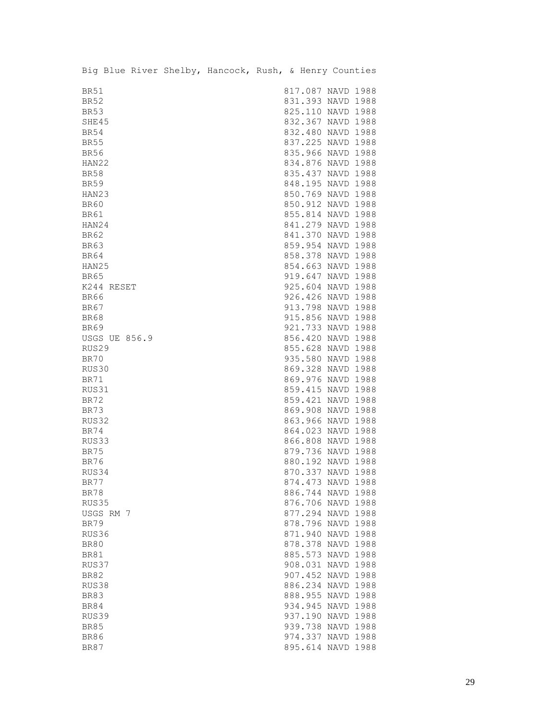|             |                      |  | Big Blue River Shelby, Hancock, Rush, & Henry Counties |  |                   |      |
|-------------|----------------------|--|--------------------------------------------------------|--|-------------------|------|
| <b>BR51</b> |                      |  |                                                        |  | 817.087 NAVD 1988 |      |
| <b>BR52</b> |                      |  |                                                        |  | 831.393 NAVD 1988 |      |
| <b>BR53</b> |                      |  |                                                        |  | 825.110 NAVD 1988 |      |
| SHE45       |                      |  |                                                        |  | 832.367 NAVD 1988 |      |
| <b>BR54</b> |                      |  |                                                        |  | 832.480 NAVD 1988 |      |
| <b>BR55</b> |                      |  |                                                        |  | 837.225 NAVD 1988 |      |
| <b>BR56</b> |                      |  |                                                        |  | 835.966 NAVD 1988 |      |
| HAN22       |                      |  |                                                        |  | 834.876 NAVD 1988 |      |
| <b>BR58</b> |                      |  |                                                        |  | 835.437 NAVD 1988 |      |
| <b>BR59</b> |                      |  |                                                        |  | 848.195 NAVD 1988 |      |
| HAN23       |                      |  |                                                        |  | 850.769 NAVD 1988 |      |
| <b>BR60</b> |                      |  |                                                        |  | 850.912 NAVD 1988 |      |
| BR61        |                      |  |                                                        |  | 855.814 NAVD 1988 |      |
| HAN24       |                      |  |                                                        |  | 841.279 NAVD 1988 |      |
| <b>BR62</b> |                      |  |                                                        |  | 841.370 NAVD 1988 |      |
| <b>BR63</b> |                      |  |                                                        |  | 859.954 NAVD 1988 |      |
| <b>BR64</b> |                      |  |                                                        |  | 858.378 NAVD 1988 |      |
| HAN25       |                      |  |                                                        |  | 854.663 NAVD 1988 |      |
| <b>BR65</b> |                      |  |                                                        |  | 919.647 NAVD 1988 |      |
|             | K244 RESET           |  |                                                        |  | 925.604 NAVD 1988 |      |
| <b>BR66</b> |                      |  |                                                        |  | 926.426 NAVD 1988 |      |
| <b>BR67</b> |                      |  |                                                        |  | 913.798 NAVD 1988 |      |
| <b>BR68</b> |                      |  |                                                        |  | 915.856 NAVD 1988 |      |
| <b>BR69</b> |                      |  |                                                        |  | 921.733 NAVD 1988 |      |
|             | <b>USGS UE 856.9</b> |  |                                                        |  | 856.420 NAVD 1988 |      |
| RUS29       |                      |  |                                                        |  | 855.628 NAVD 1988 |      |
| BR70        |                      |  |                                                        |  | 935.580 NAVD 1988 |      |
| RUS30       |                      |  |                                                        |  | 869.328 NAVD 1988 |      |
| <b>BR71</b> |                      |  |                                                        |  | 869.976 NAVD 1988 |      |
| RUS31       |                      |  |                                                        |  | 859.415 NAVD 1988 |      |
| <b>BR72</b> |                      |  |                                                        |  | 859.421 NAVD 1988 |      |
| BR73        |                      |  |                                                        |  | 869.908 NAVD 1988 |      |
| RUS32       |                      |  |                                                        |  | 863.966 NAVD 1988 |      |
| <b>BR74</b> |                      |  |                                                        |  | 864.023 NAVD 1988 |      |
| RUS33       |                      |  |                                                        |  | 866.808 NAVD 1988 |      |
| <b>BR75</b> |                      |  |                                                        |  | 879.736 NAVD 1988 |      |
| <b>BR76</b> |                      |  |                                                        |  | 880.192 NAVD 1988 |      |
| RUS34       |                      |  |                                                        |  | 870.337 NAVD 1988 |      |
| BR77        |                      |  |                                                        |  | 874.473 NAVD 1988 |      |
| <b>BR78</b> |                      |  |                                                        |  | 886.744 NAVD 1988 |      |
| RUS35       |                      |  |                                                        |  | 876.706 NAVD 1988 |      |
|             | USGS RM 7            |  |                                                        |  | 877.294 NAVD 1988 |      |
| <b>BR79</b> |                      |  |                                                        |  | 878.796 NAVD 1988 |      |
| RUS36       |                      |  |                                                        |  | 871.940 NAVD 1988 |      |
| <b>BR80</b> |                      |  |                                                        |  | 878.378 NAVD 1988 |      |
| <b>BR81</b> |                      |  |                                                        |  | 885.573 NAVD      | 1988 |
| RUS37       |                      |  |                                                        |  | 908.031 NAVD      | 1988 |
| <b>BR82</b> |                      |  |                                                        |  | 907.452 NAVD 1988 |      |
| RUS38       |                      |  |                                                        |  | 886.234 NAVD 1988 |      |
| <b>BR83</b> |                      |  |                                                        |  | 888.955 NAVD 1988 |      |
| <b>BR84</b> |                      |  |                                                        |  | 934.945 NAVD 1988 |      |
| RUS39       |                      |  |                                                        |  | 937.190 NAVD 1988 |      |
| <b>BR85</b> |                      |  |                                                        |  | 939.738 NAVD 1988 |      |
| <b>BR86</b> |                      |  |                                                        |  | 974.337 NAVD 1988 |      |
| <b>BR87</b> |                      |  |                                                        |  | 895.614 NAVD 1988 |      |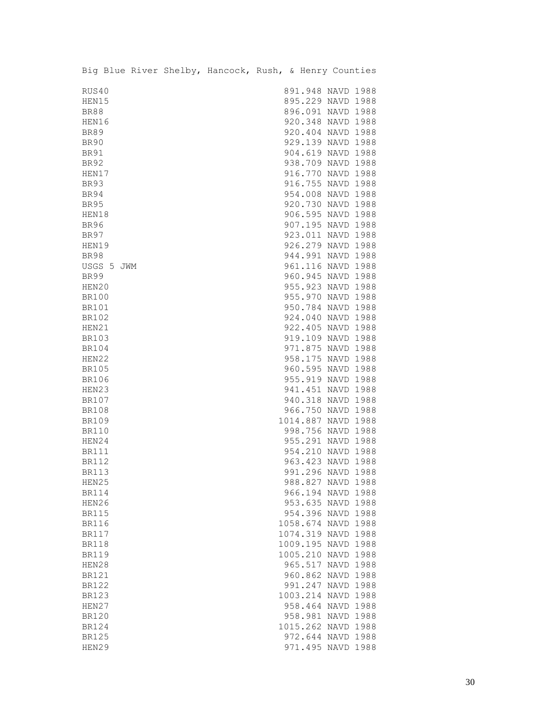|              |            |  | Big Blue River Shelby, Hancock, Rush, & Henry Counties |  |                    |      |
|--------------|------------|--|--------------------------------------------------------|--|--------------------|------|
| RUS40        |            |  |                                                        |  | 891.948 NAVD 1988  |      |
| HEN15        |            |  |                                                        |  | 895.229 NAVD 1988  |      |
| <b>BR88</b>  |            |  |                                                        |  | 896.091 NAVD 1988  |      |
| HEN16        |            |  |                                                        |  | 920.348 NAVD 1988  |      |
| <b>BR89</b>  |            |  |                                                        |  | 920.404 NAVD 1988  |      |
| <b>BR90</b>  |            |  |                                                        |  | 929.139 NAVD 1988  |      |
| <b>BR91</b>  |            |  |                                                        |  | 904.619 NAVD 1988  |      |
| <b>BR92</b>  |            |  |                                                        |  | 938.709 NAVD 1988  |      |
| HEN17        |            |  |                                                        |  | 916.770 NAVD 1988  |      |
| <b>BR93</b>  |            |  |                                                        |  | 916.755 NAVD 1988  |      |
| BR94         |            |  |                                                        |  | 954.008 NAVD 1988  |      |
| <b>BR95</b>  |            |  |                                                        |  | 920.730 NAVD 1988  |      |
| HEN18        |            |  |                                                        |  | 906.595 NAVD 1988  |      |
| <b>BR96</b>  |            |  |                                                        |  | 907.195 NAVD 1988  |      |
| <b>BR97</b>  |            |  |                                                        |  | 923.011 NAVD 1988  |      |
| HEN19        |            |  |                                                        |  | 926.279 NAVD 1988  |      |
| <b>BR98</b>  |            |  |                                                        |  | 944.991 NAVD 1988  |      |
|              | USGS 5 JWM |  |                                                        |  | 961.116 NAVD 1988  |      |
| <b>BR99</b>  |            |  |                                                        |  | 960.945 NAVD 1988  |      |
| HEN20        |            |  |                                                        |  | 955.923 NAVD 1988  |      |
| <b>BR100</b> |            |  |                                                        |  | 955.970 NAVD 1988  |      |
| <b>BR101</b> |            |  |                                                        |  | 950.784 NAVD 1988  |      |
| <b>BR102</b> |            |  |                                                        |  | 924.040 NAVD 1988  |      |
| HEN21        |            |  |                                                        |  | 922.405 NAVD 1988  |      |
| <b>BR103</b> |            |  |                                                        |  | 919.109 NAVD 1988  |      |
| <b>BR104</b> |            |  |                                                        |  | 971.875 NAVD 1988  |      |
| HEN22        |            |  |                                                        |  | 958.175 NAVD 1988  |      |
| <b>BR105</b> |            |  |                                                        |  | 960.595 NAVD 1988  |      |
| <b>BR106</b> |            |  |                                                        |  | 955.919 NAVD 1988  |      |
| HEN23        |            |  |                                                        |  | 941.451 NAVD 1988  |      |
| <b>BR107</b> |            |  |                                                        |  | 940.318 NAVD 1988  |      |
| <b>BR108</b> |            |  |                                                        |  | 966.750 NAVD 1988  |      |
| <b>BR109</b> |            |  |                                                        |  | 1014.887 NAVD 1988 |      |
| <b>BR110</b> |            |  |                                                        |  | 998.756 NAVD 1988  |      |
| HEN24        |            |  |                                                        |  | 955.291 NAVD 1988  |      |
| <b>BR111</b> |            |  |                                                        |  | 954.210 NAVD 1988  |      |
| <b>BR112</b> |            |  |                                                        |  | 963.423 NAVD 1988  |      |
| BR113        |            |  |                                                        |  | 991.296 NAVD 1988  |      |
| HEN25        |            |  |                                                        |  | 988.827 NAVD 1988  |      |
| <b>BR114</b> |            |  |                                                        |  | 966.194 NAVD 1988  |      |
| HEN26        |            |  |                                                        |  | 953.635 NAVD 1988  |      |
| <b>BR115</b> |            |  |                                                        |  | 954.396 NAVD       | 1988 |
| <b>BR116</b> |            |  |                                                        |  | 1058.674 NAVD 1988 |      |
| <b>BR117</b> |            |  |                                                        |  | 1074.319 NAVD 1988 |      |
| <b>BR118</b> |            |  |                                                        |  | 1009.195 NAVD 1988 |      |
| <b>BR119</b> |            |  |                                                        |  | 1005.210 NAVD      | 1988 |
| HEN28        |            |  |                                                        |  | 965.517 NAVD       | 1988 |
| <b>BR121</b> |            |  |                                                        |  | 960.862 NAVD       | 1988 |
| <b>BR122</b> |            |  |                                                        |  | 991.247 NAVD       | 1988 |
| <b>BR123</b> |            |  |                                                        |  | 1003.214 NAVD 1988 |      |
| HEN27        |            |  |                                                        |  | 958.464 NAVD 1988  |      |
| <b>BR120</b> |            |  |                                                        |  | 958.981 NAVD 1988  |      |
| <b>BR124</b> |            |  |                                                        |  | 1015.262 NAVD 1988 |      |
| <b>BR125</b> |            |  |                                                        |  | 972.644 NAVD 1988  |      |
| HEN29        |            |  |                                                        |  | 971.495 NAVD       | 1988 |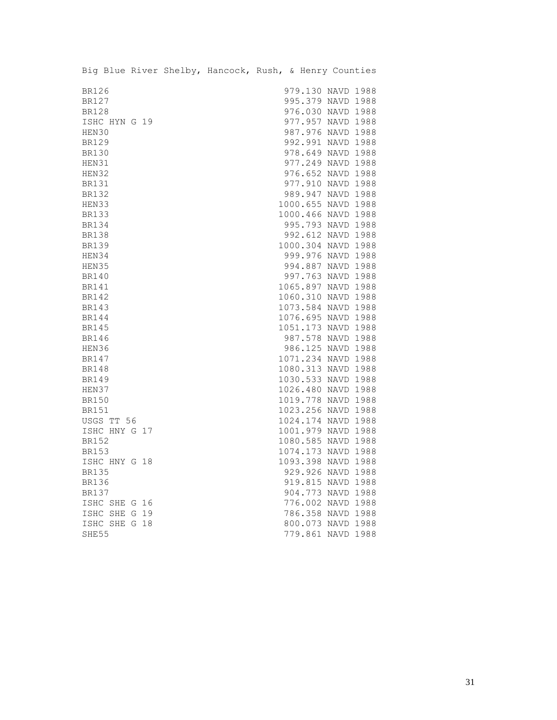|              |               | Big Blue River Shelby, Hancock, Rush, & Henry Counties |  |                    |  |
|--------------|---------------|--------------------------------------------------------|--|--------------------|--|
|              |               |                                                        |  |                    |  |
| <b>BR126</b> |               |                                                        |  | 979.130 NAVD 1988  |  |
| <b>BR127</b> |               |                                                        |  | 995.379 NAVD 1988  |  |
| <b>BR128</b> |               |                                                        |  | 976.030 NAVD 1988  |  |
|              | ISHC HYN G 19 |                                                        |  | 977.957 NAVD 1988  |  |
| HEN30        |               |                                                        |  | 987.976 NAVD 1988  |  |
| <b>BR129</b> |               |                                                        |  | 992.991 NAVD 1988  |  |
| <b>BR130</b> |               |                                                        |  | 978.649 NAVD 1988  |  |
| HEN31        |               |                                                        |  | 977.249 NAVD 1988  |  |
| HEN32        |               |                                                        |  | 976.652 NAVD 1988  |  |
| <b>BR131</b> |               |                                                        |  | 977.910 NAVD 1988  |  |
| <b>BR132</b> |               |                                                        |  | 989.947 NAVD 1988  |  |
| HEN33        |               |                                                        |  | 1000.655 NAVD 1988 |  |
| <b>BR133</b> |               |                                                        |  | 1000.466 NAVD 1988 |  |
| <b>BR134</b> |               |                                                        |  | 995.793 NAVD 1988  |  |
| <b>BR138</b> |               |                                                        |  | 992.612 NAVD 1988  |  |
| <b>BR139</b> |               |                                                        |  | 1000.304 NAVD 1988 |  |
| HEN34        |               |                                                        |  | 999.976 NAVD 1988  |  |
| HEN35        |               |                                                        |  | 994.887 NAVD 1988  |  |
| <b>BR140</b> |               |                                                        |  | 997.763 NAVD 1988  |  |
| <b>BR141</b> |               |                                                        |  | 1065.897 NAVD 1988 |  |
| <b>BR142</b> |               |                                                        |  | 1060.310 NAVD 1988 |  |
| <b>BR143</b> |               |                                                        |  | 1073.584 NAVD 1988 |  |
| <b>BR144</b> |               |                                                        |  | 1076.695 NAVD 1988 |  |
| <b>BR145</b> |               |                                                        |  | 1051.173 NAVD 1988 |  |
| <b>BR146</b> |               |                                                        |  | 987.578 NAVD 1988  |  |
| HEN36        |               |                                                        |  | 986.125 NAVD 1988  |  |
| <b>BR147</b> |               |                                                        |  | 1071.234 NAVD 1988 |  |
| <b>BR148</b> |               |                                                        |  | 1080.313 NAVD 1988 |  |
| <b>BR149</b> |               |                                                        |  | 1030.533 NAVD 1988 |  |
| HEN37        |               |                                                        |  | 1026.480 NAVD 1988 |  |
| <b>BR150</b> |               |                                                        |  | 1019.778 NAVD 1988 |  |
| <b>BR151</b> |               |                                                        |  | 1023.256 NAVD 1988 |  |
|              | USGS TT 56    |                                                        |  | 1024.174 NAVD 1988 |  |
|              | ISHC HNY G 17 |                                                        |  | 1001.979 NAVD 1988 |  |
| <b>BR152</b> |               |                                                        |  | 1080.585 NAVD 1988 |  |
| <b>BR153</b> |               |                                                        |  | 1074.173 NAVD 1988 |  |
|              | ISHC HNY G 18 |                                                        |  | 1093.398 NAVD 1988 |  |
| <b>BR135</b> |               |                                                        |  | 929.926 NAVD 1988  |  |
| <b>BR136</b> |               |                                                        |  | 919.815 NAVD 1988  |  |
| BR137        |               |                                                        |  | 904.773 NAVD 1988  |  |
|              | ISHC SHE G 16 |                                                        |  | 776.002 NAVD 1988  |  |
|              | ISHC SHE G 19 |                                                        |  | 786.358 NAVD 1988  |  |
|              | ISHC SHE G 18 |                                                        |  | 800.073 NAVD 1988  |  |
| SHE55        |               |                                                        |  | 779.861 NAVD 1988  |  |

Big Blue River Shelby, Hancock, Rush, & Henry Counties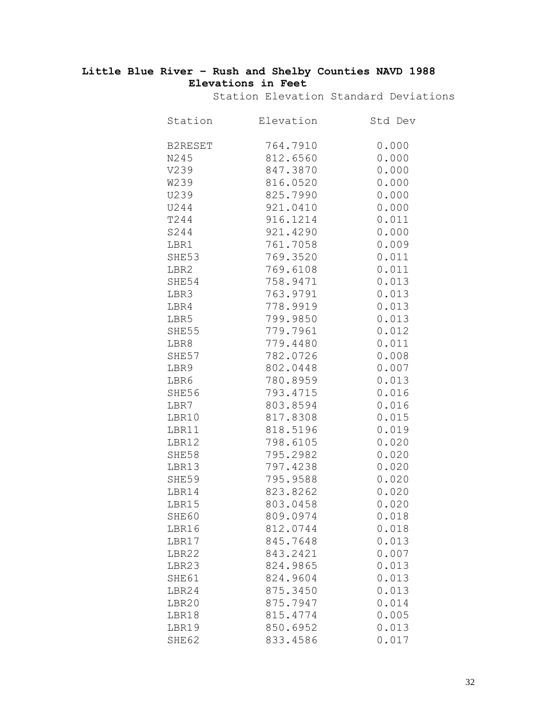# **Little Blue River – Rush and Shelby Counties NAVD 1988 Elevations in Feet**

Station Elevation Standard Deviations

| Station        | Elevation | Std Dev |
|----------------|-----------|---------|
| <b>B2RESET</b> | 764.7910  | 0.000   |
| N245           | 812.6560  | 0.000   |
| V239           | 847.3870  | 0.000   |
| W239           | 816.0520  | 0.000   |
| U239           | 825.7990  | 0.000   |
| U244           | 921.0410  | 0.000   |
| T244           | 916.1214  | 0.011   |
| S244           | 921.4290  | 0.000   |
| LBR1           | 761.7058  | 0.009   |
| SHE53          | 769.3520  | 0.011   |
| LBR2           | 769.6108  | 0.011   |
| SHE54          | 758.9471  | 0.013   |
| LBR3           | 763.9791  | 0.013   |
| LBR4           | 778.9919  | 0.013   |
| LBR5           | 799.9850  | 0.013   |
| SHE55          | 779.7961  | 0.012   |
| LBR8           | 779.4480  | 0.011   |
| SHE57          | 782.0726  | 0.008   |
| LBR9           | 802.0448  | 0.007   |
| LBR6           | 780.8959  | 0.013   |
| SHE56          | 793.4715  | 0.016   |
| LBR7           | 803.8594  | 0.016   |
| LBR10          | 817.8308  | 0.015   |
| LBR11          | 818.5196  | 0.019   |
| LBR12          | 798.6105  | 0.020   |
| SHE58          | 795.2982  | 0.020   |
| LBR13          | 797.4238  | 0.020   |
| SHE59          | 795.9588  | 0.020   |
| LBR14          | 823.8262  | 0.020   |
| LBR15          | 803.0458  | 0.020   |
| SHE60          | 809.0974  | 0.018   |
| LBR16          | 812.0744  | 0.018   |
| LBR17          | 845.7648  | 0.013   |
| LBR22          | 843.2421  | 0.007   |
| LBR23          | 824.9865  | 0.013   |
| SHE61          | 824.9604  | 0.013   |
| LBR24          | 875.3450  | 0.013   |
| LBR20          | 875.7947  | 0.014   |
| LBR18          | 815.4774  | 0.005   |
| LBR19          | 850.6952  | 0.013   |
| SHE62          | 833.4586  | 0.017   |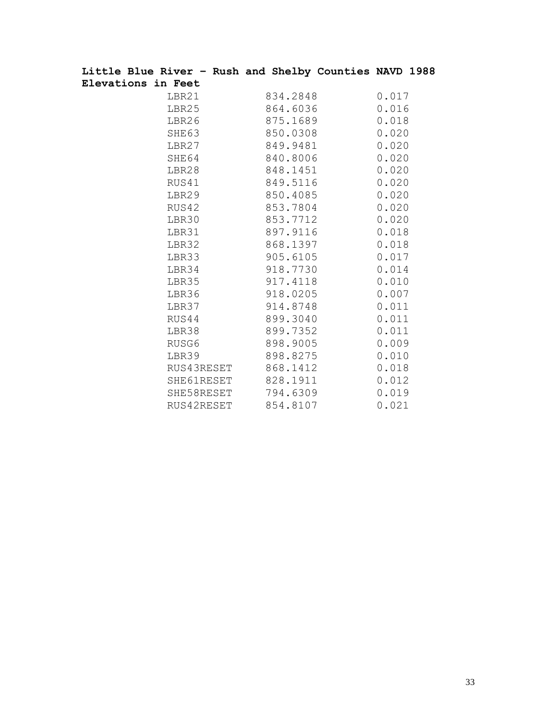| Little Blue River - Rush and Shelby Counties NAVD 1988 |                     |          |       |  |
|--------------------------------------------------------|---------------------|----------|-------|--|
| Elevations in Feet                                     |                     |          |       |  |
| LBR21                                                  |                     | 834.2848 | 0.017 |  |
| LBR25                                                  |                     | 864.6036 | 0.016 |  |
| LBR26                                                  |                     | 875.1689 | 0.018 |  |
| SHE63                                                  |                     | 850.0308 | 0.020 |  |
| LBR27                                                  |                     | 849.9481 | 0.020 |  |
| SHE64                                                  |                     | 840.8006 | 0.020 |  |
| LBR28                                                  |                     | 848.1451 | 0.020 |  |
| RUS41                                                  |                     | 849.5116 | 0.020 |  |
| LBR29                                                  |                     | 850.4085 | 0.020 |  |
| RUS42                                                  |                     | 853.7804 | 0.020 |  |
| LBR30                                                  |                     | 853.7712 | 0.020 |  |
| LBR31                                                  |                     | 897.9116 | 0.018 |  |
| LBR32                                                  |                     | 868.1397 | 0.018 |  |
| LBR33                                                  |                     | 905.6105 | 0.017 |  |
| LBR34                                                  |                     | 918.7730 | 0.014 |  |
| LBR35                                                  |                     | 917.4118 | 0.010 |  |
| LBR36                                                  |                     | 918.0205 | 0.007 |  |
| LBR37                                                  |                     | 914.8748 | 0.011 |  |
| RUS44                                                  |                     | 899.3040 | 0.011 |  |
| LBR38                                                  |                     | 899.7352 | 0.011 |  |
| RUSG6                                                  |                     | 898.9005 | 0.009 |  |
| LBR39                                                  |                     | 898.8275 | 0.010 |  |
|                                                        | RUS43RESET 868.1412 |          | 0.018 |  |
|                                                        | SHE61RESET 828.1911 |          | 0.012 |  |
|                                                        | SHE58RESET 794.6309 |          | 0.019 |  |
|                                                        | RUS42RESET 854.8107 |          | 0.021 |  |